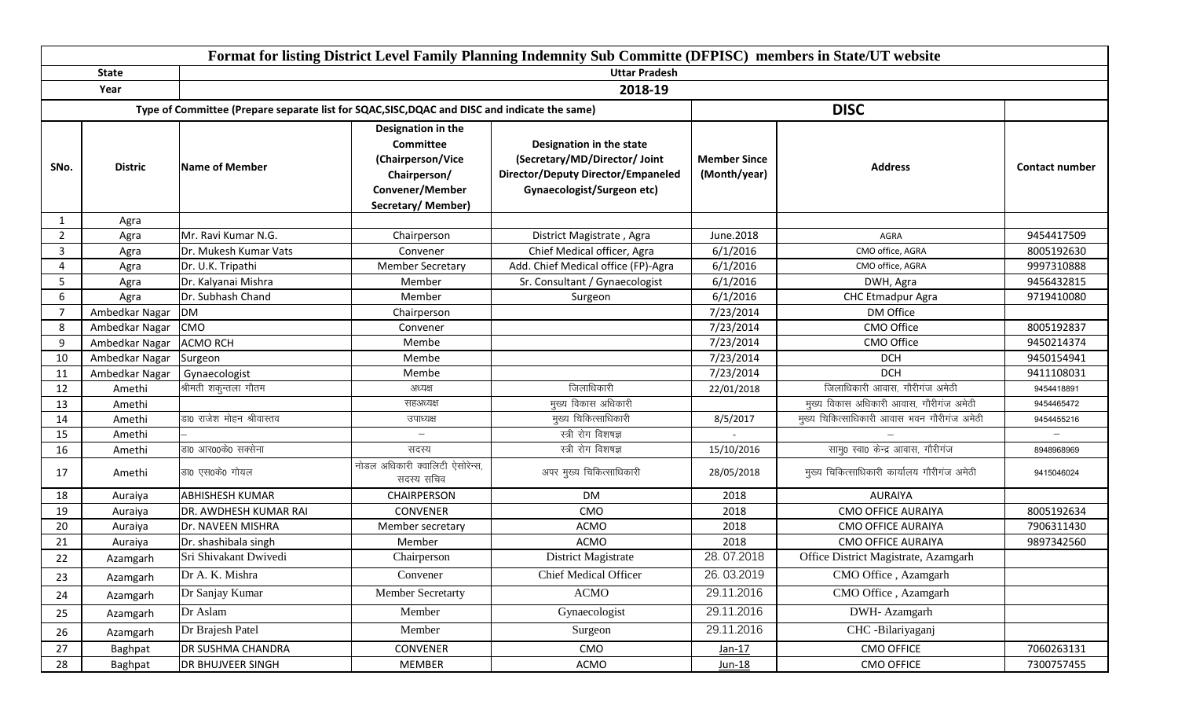|                |                | Format for listing District Level Family Planning Indemnity Sub Committe (DFPISC) members in State/UT website |                                                                                                                      |                                                                                                                                             |                                     |                                             |                       |  |  |  |  |
|----------------|----------------|---------------------------------------------------------------------------------------------------------------|----------------------------------------------------------------------------------------------------------------------|---------------------------------------------------------------------------------------------------------------------------------------------|-------------------------------------|---------------------------------------------|-----------------------|--|--|--|--|
|                | <b>State</b>   |                                                                                                               | <b>Uttar Pradesh</b>                                                                                                 |                                                                                                                                             |                                     |                                             |                       |  |  |  |  |
|                | Year           |                                                                                                               |                                                                                                                      | 2018-19                                                                                                                                     |                                     |                                             |                       |  |  |  |  |
|                |                | Type of Committee (Prepare separate list for SQAC, SISC, DQAC and DISC and indicate the same)                 |                                                                                                                      |                                                                                                                                             |                                     | <b>DISC</b>                                 |                       |  |  |  |  |
| SNo.           | <b>Distric</b> | Name of Member                                                                                                | Designation in the<br><b>Committee</b><br>(Chairperson/Vice<br>Chairperson/<br>Convener/Member<br>Secretary/ Member) | Designation in the state<br>(Secretary/MD/Director/ Joint<br><b>Director/Deputy Director/Empaneled</b><br><b>Gynaecologist/Surgeon etc)</b> | <b>Member Since</b><br>(Month/year) | <b>Address</b>                              | <b>Contact number</b> |  |  |  |  |
| 1              | Agra           |                                                                                                               |                                                                                                                      |                                                                                                                                             |                                     |                                             |                       |  |  |  |  |
| $\overline{2}$ | Agra           | Mr. Ravi Kumar N.G.                                                                                           | Chairperson                                                                                                          | District Magistrate, Agra                                                                                                                   | June.2018                           | AGRA                                        | 9454417509            |  |  |  |  |
| 3              | Agra           | Dr. Mukesh Kumar Vats                                                                                         | Convener                                                                                                             | Chief Medical officer, Agra                                                                                                                 | 6/1/2016                            | CMO office, AGRA                            | 8005192630            |  |  |  |  |
| 4              | Agra           | Dr. U.K. Tripathi                                                                                             | <b>Member Secretary</b>                                                                                              | Add. Chief Medical office (FP)-Agra                                                                                                         | 6/1/2016                            | CMO office, AGRA                            | 9997310888            |  |  |  |  |
| 5              | Agra           | Dr. Kalyanai Mishra                                                                                           | Member                                                                                                               | Sr. Consultant / Gynaecologist                                                                                                              | 6/1/2016                            | DWH, Agra                                   | 9456432815            |  |  |  |  |
| 6              | Agra           | Dr. Subhash Chand                                                                                             | Member                                                                                                               | Surgeon                                                                                                                                     | 6/1/2016                            | CHC Etmadpur Agra                           | 9719410080            |  |  |  |  |
| $\overline{7}$ | Ambedkar Nagar | <b>DM</b>                                                                                                     | Chairperson                                                                                                          |                                                                                                                                             | 7/23/2014                           | DM Office                                   |                       |  |  |  |  |
| 8              | Ambedkar Nagar | <b>CMO</b>                                                                                                    | Convener                                                                                                             |                                                                                                                                             | 7/23/2014                           | CMO Office                                  | 8005192837            |  |  |  |  |
| q              | Ambedkar Nagar | <b>ACMO RCH</b>                                                                                               | Membe                                                                                                                |                                                                                                                                             | 7/23/2014                           | CMO Office                                  | 9450214374            |  |  |  |  |
| 10             | Ambedkar Nagar | Surgeon                                                                                                       | Membe                                                                                                                |                                                                                                                                             | 7/23/2014                           | <b>DCH</b>                                  | 9450154941            |  |  |  |  |
| 11             | Ambedkar Nagar | Gynaecologist                                                                                                 | Membe                                                                                                                |                                                                                                                                             | 7/23/2014                           | <b>DCH</b>                                  | 9411108031            |  |  |  |  |
| 12             | Amethi         | श्रीमती शकुन्तला गौतम                                                                                         | अध्यक्ष                                                                                                              | जिलाधिकारी                                                                                                                                  | 22/01/2018                          | जिलाधिकारी आवास, गौरीगंज अमेठी              | 9454418891            |  |  |  |  |
| 13             | Amethi         |                                                                                                               | सहअध्यक्ष                                                                                                            | मुख्य विकास अधिकारी                                                                                                                         |                                     | मुख्य विकास अधिकारी आवास, गौरीगंज अमेठी     | 9454465472            |  |  |  |  |
| 14             | Amethi         | डा0 राजेश मोहन श्रीवास्तव                                                                                     | उपाध्यक्ष                                                                                                            | मुख्य चिकित्साधिकारी                                                                                                                        | 8/5/2017                            | मुख्य चिकित्साधिकारी आवास भवन गौरीगंज अमेठी | 9454455216            |  |  |  |  |
| 15             | Amethi         |                                                                                                               |                                                                                                                      | स्त्री रोग विशषज्ञ                                                                                                                          |                                     |                                             |                       |  |  |  |  |
| 16             | Amethi         | डा0 आर00के0 सक्सेना                                                                                           | सदस्य                                                                                                                | स्त्री रोग विशषज्ञ                                                                                                                          | 15/10/2016                          | सामु0 स्वा0 केन्द्र आवास, गौरीगंज           | 8948968969            |  |  |  |  |
| 17             | Amethi         | डा0 एस0के0 गोयल                                                                                               | नोडल अधिकारी क्वालिटी ऐसोरेन्स,<br>सदस्य सचिव                                                                        | अपर मुख्य चिकित्साधिकारी                                                                                                                    | 28/05/2018                          | मुख्य चिकित्साधिकारी कार्यालय गौरीगंज अमेठी | 9415046024            |  |  |  |  |
| 18             | Auraiya        | <b>ABHISHESH KUMAR</b>                                                                                        | CHAIRPERSON                                                                                                          | DM                                                                                                                                          | 2018                                | <b>AURAIYA</b>                              |                       |  |  |  |  |
| 19             | Auraiya        | DR. AWDHESH KUMAR RAI                                                                                         | <b>CONVENER</b>                                                                                                      | CMO                                                                                                                                         | 2018                                | <b>CMO OFFICE AURAIYA</b>                   | 8005192634            |  |  |  |  |
| 20             | Auraiya        | Dr. NAVEEN MISHRA                                                                                             | Member secretary                                                                                                     | ACMO                                                                                                                                        | 2018                                | <b>CMO OFFICE AURAIYA</b>                   | 7906311430            |  |  |  |  |
| 21             | Auraiya        | Dr. shashibala singh                                                                                          | Member                                                                                                               | <b>ACMO</b>                                                                                                                                 | 2018                                | <b>CMO OFFICE AURAIYA</b>                   | 9897342560            |  |  |  |  |
| 22             | Azamgarh       | Sri Shivakant Dwivedi                                                                                         | Chairperson                                                                                                          | District Magistrate                                                                                                                         | 28.07.2018                          | Office District Magistrate, Azamgarh        |                       |  |  |  |  |
| 23             | Azamgarh       | Dr A. K. Mishra                                                                                               | Convener                                                                                                             | <b>Chief Medical Officer</b>                                                                                                                | 26.03.2019                          | CMO Office, Azamgarh                        |                       |  |  |  |  |
| 24             | Azamgarh       | Dr Sanjay Kumar                                                                                               | <b>Member Secretarty</b>                                                                                             | <b>ACMO</b>                                                                                                                                 | 29.11.2016                          | CMO Office, Azamgarh                        |                       |  |  |  |  |
| 25             | Azamgarh       | Dr Aslam                                                                                                      | Member                                                                                                               | Gynaecologist                                                                                                                               | 29.11.2016                          | DWH-Azamgarh                                |                       |  |  |  |  |
| 26             | Azamgarh       | Dr Brajesh Patel                                                                                              | Member                                                                                                               | Surgeon                                                                                                                                     | 29.11.2016                          | CHC -Bilariyaganj                           |                       |  |  |  |  |
| 27             | Baghpat        | DR SUSHMA CHANDRA                                                                                             | CONVENER                                                                                                             | CMO                                                                                                                                         | $Jan-17$                            | <b>CMO OFFICE</b>                           | 7060263131            |  |  |  |  |
| 28             | Baghpat        | <b>DR BHUJVEER SINGH</b>                                                                                      | MEMBER                                                                                                               | ACMO                                                                                                                                        | $Jun-18$                            | <b>CMO OFFICE</b>                           | 7300757455            |  |  |  |  |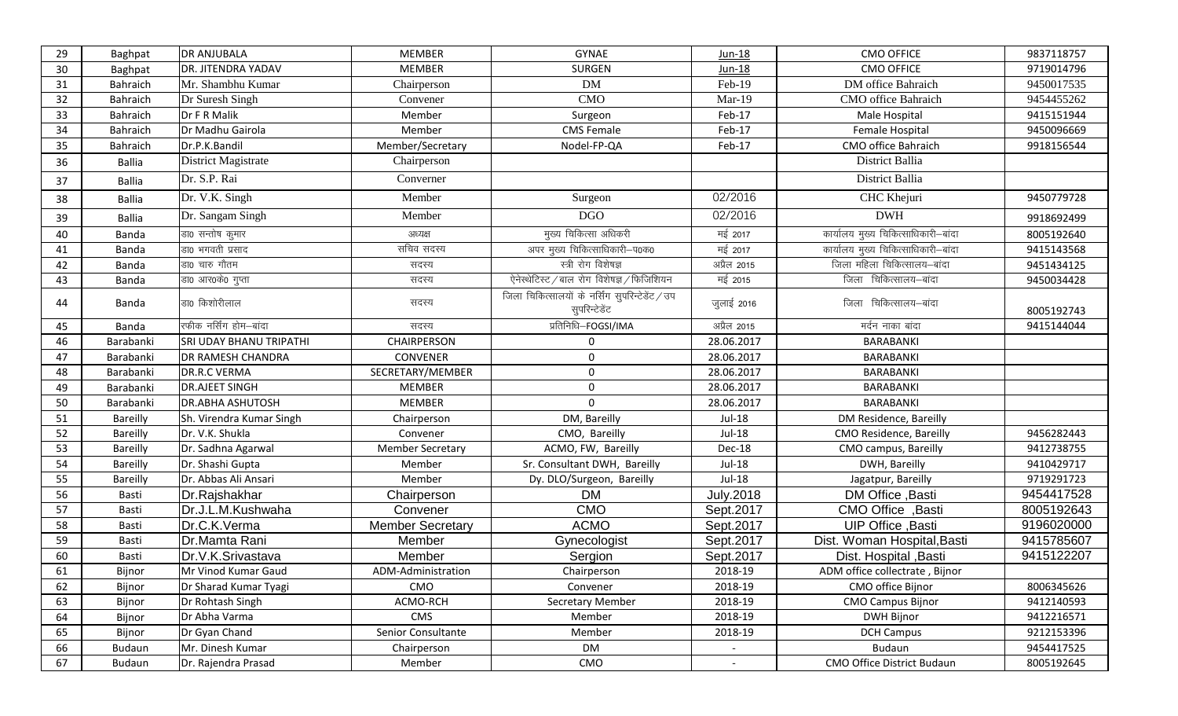| 29 | Baghpat         | <b>DR ANJUBALA</b>             | <b>MEMBER</b>           | <b>GYNAE</b>                                                     | Jun-18           | <b>CMO OFFICE</b>                   | 9837118757 |
|----|-----------------|--------------------------------|-------------------------|------------------------------------------------------------------|------------------|-------------------------------------|------------|
| 30 | Baghpat         | <b>DR. JITENDRA YADAV</b>      | <b>MEMBER</b>           | <b>SURGEN</b>                                                    | $Jun-18$         | <b>CMO OFFICE</b>                   | 9719014796 |
| 31 | Bahraich        | Mr. Shambhu Kumar              | Chairperson             | DM                                                               | Feb-19           | DM office Bahraich                  | 9450017535 |
| 32 | Bahraich        | Dr Suresh Singh                | Convener                | CMO                                                              | Mar-19           | CMO office Bahraich                 | 9454455262 |
| 33 | Bahraich        | Dr F R Malik                   | Member                  | Surgeon                                                          | Feb-17           | Male Hospital                       | 9415151944 |
| 34 | <b>Bahraich</b> | Dr Madhu Gairola               | Member                  | <b>CMS Female</b>                                                | Feb-17           | Female Hospital                     | 9450096669 |
| 35 | Bahraich        | Dr.P.K.Bandil                  | Member/Secretary        | Nodel-FP-QA                                                      | Feb-17           | CMO office Bahraich                 | 9918156544 |
| 36 | <b>Ballia</b>   | District Magistrate            | Chairperson             |                                                                  |                  | District Ballia                     |            |
| 37 | Ballia          | Dr. S.P. Rai                   | Converner               |                                                                  |                  | District Ballia                     |            |
| 38 | Ballia          | Dr. V.K. Singh                 | Member                  | Surgeon                                                          | 02/2016          | CHC Khejuri                         | 9450779728 |
| 39 | Ballia          | Dr. Sangam Singh               | Member                  | <b>DGO</b>                                                       | 02/2016          | <b>DWH</b>                          | 9918692499 |
| 40 | Banda           | डा0 सन्तोष कुमार               | अध्यक्ष                 | मुख्य चिकित्सा अधिकरी                                            | मई 2017          | कार्यालय मुख्य चिकित्साधिकारी-बांदा | 8005192640 |
| 41 | Banda           | डा0 भगवती प्रसाद               | सचिव सदस्य              | अपर मुख्य चिकित्साधिकारी-प0क0                                    | मई 2017          | कार्यालय मुख्य चिकित्साधिकारी-बांदा | 9415143568 |
| 42 | Banda           | डा0 चारु गौतम                  | सदस्य                   | स्त्री रोग विशेषज्ञ                                              | अप्रैल 2015      | जिला महिला चिकित्सालय–बांदा         | 9451434125 |
| 43 | Banda           | डा0 आर0के0 गुप्ता              | सदस्य                   | ऐनेस्थेटिस्ट / बाल रोग विशेषज्ञ / फिजिशियन                       | मई 2015          | जिला चिकित्सालय-बांदा               | 9450034428 |
| 44 | Banda           | डा0 किशोरीलाल                  | सदस्य                   | जिला चिकित्सालयों के नर्सिंग सुपरिन्टेडेंट / उप<br>सुपरिन्टेडेंट | जुलाई 2016       | जिला चिकित्सालय–बांदा               | 8005192743 |
| 45 | Banda           | रफीक नर्सिंग होम–बांदा         | सदस्य                   | प्रतिनिधि-FOGSI/IMA                                              | अप्रैल 2015      | मर्दन नाका बांदा                    | 9415144044 |
| 46 | Barabanki       | <b>SRI UDAY BHANU TRIPATHI</b> | CHAIRPERSON             | $\Omega$                                                         | 28.06.2017       | BARABANKI                           |            |
| 47 | Barabanki       | <b>DR RAMESH CHANDRA</b>       | <b>CONVENER</b>         | $\Omega$                                                         | 28.06.2017       | <b>BARABANKI</b>                    |            |
| 48 | Barabanki       | <b>DR.R.C VERMA</b>            | SECRETARY/MEMBER        | $\mathbf{0}$                                                     | 28.06.2017       | <b>BARABANKI</b>                    |            |
| 49 | Barabanki       | <b>DR.AJEET SINGH</b>          | <b>MEMBER</b>           | $\mathbf 0$                                                      | 28.06.2017       | BARABANKI                           |            |
| 50 | Barabanki       | <b>DR.ABHA ASHUTOSH</b>        | <b>MEMBER</b>           | $\mathbf 0$                                                      | 28.06.2017       | <b>BARABANKI</b>                    |            |
| 51 | Bareilly        | Sh. Virendra Kumar Singh       | Chairperson             | DM, Bareilly                                                     | <b>Jul-18</b>    | DM Residence, Bareilly              |            |
| 52 | Bareilly        | Dr. V.K. Shukla                | Convener                | CMO, Bareilly                                                    | Jul-18           | CMO Residence, Bareilly             | 9456282443 |
| 53 | <b>Bareilly</b> | Dr. Sadhna Agarwal             | <b>Member Secretary</b> | ACMO, FW, Bareilly                                               | Dec-18           | CMO campus, Bareilly                | 9412738755 |
| 54 | Bareilly        | Dr. Shashi Gupta               | Member                  | Sr. Consultant DWH, Bareilly                                     | Jul-18           | DWH, Bareilly                       | 9410429717 |
| 55 | Bareilly        | Dr. Abbas Ali Ansari           | Member                  | Dy. DLO/Surgeon, Bareilly                                        | <b>Jul-18</b>    | Jagatpur, Bareilly                  | 9719291723 |
| 56 | Basti           | Dr.Rajshakhar                  | Chairperson             | <b>DM</b>                                                        | <b>July.2018</b> | DM Office, Basti                    | 9454417528 |
| 57 | Basti           | Dr.J.L.M.Kushwaha              | Convener                | <b>CMO</b>                                                       | Sept.2017        | CMO Office, Basti                   | 8005192643 |
| 58 | Basti           | Dr.C.K.Verma                   | <b>Member Secretary</b> | <b>ACMO</b>                                                      | Sept.2017        | UIP Office, Basti                   | 9196020000 |
| 59 | Basti           | Dr.Mamta Rani                  | Member                  | Gynecologist                                                     | Sept.2017        | Dist. Woman Hospital, Basti         | 9415785607 |
| 60 | Basti           | Dr.V.K.Srivastava              | Member                  | Sergion                                                          | Sept.2017        | Dist. Hospital , Basti              | 9415122207 |
| 61 | Bijnor          | Mr Vinod Kumar Gaud            | ADM-Administration      | Chairperson                                                      | 2018-19          | ADM office collectrate, Bijnor      |            |
| 62 | Bijnor          | Dr Sharad Kumar Tyagi          | CMO                     | Convener                                                         | 2018-19          | CMO office Bijnor                   | 8006345626 |
| 63 | Bijnor          | Dr Rohtash Singh               | ACMO-RCH                | Secretary Member                                                 | 2018-19          | <b>CMO Campus Bijnor</b>            | 9412140593 |
| 64 | Bijnor          | Dr Abha Varma                  | <b>CMS</b>              | Member                                                           | 2018-19          | DWH Bijnor                          | 9412216571 |
| 65 | Bijnor          | Dr Gyan Chand                  | Senior Consultante      | Member                                                           | 2018-19          | <b>DCH Campus</b>                   | 9212153396 |
| 66 | Budaun          | Mr. Dinesh Kumar               | Chairperson             | DM                                                               |                  | Budaun                              | 9454417525 |
| 67 | Budaun          | Dr. Rajendra Prasad            | Member                  | CMO                                                              |                  | CMO Office District Budaun          | 8005192645 |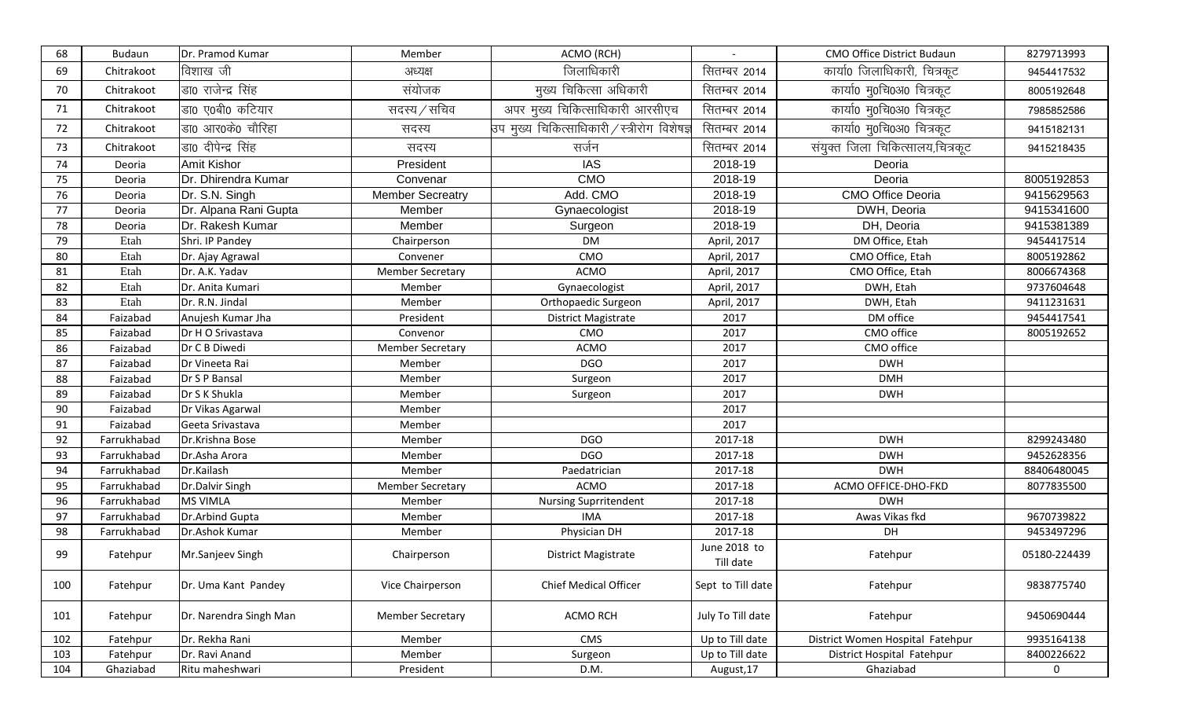| 68  | Budaun      | Dr. Pramod Kumar       | Member                  | ACMO (RCH)                                          |                           | CMO Office District Budaun       | 8279713993   |
|-----|-------------|------------------------|-------------------------|-----------------------------------------------------|---------------------------|----------------------------------|--------------|
| 69  | Chitrakoot  | विशाख जी               | अध्यक्ष                 | जिलाधिकारी                                          | सितम्बर 2014              | कार्या0 जिलाधिकारी, चित्रकूट     | 9454417532   |
| 70  | Chitrakoot  | डा0 राजेन्द्र सिंह     | संयोजक                  | मुख्य चिकित्सा अधिकारी                              | सितम्बर 2014              | कार्या0 मु0चि0अ0 चित्रकूट        | 8005192648   |
| 71  | Chitrakoot  | डा0 ए0बी0 कटियार       | सदस्य / सचिव            | अपर मुख्य चिकित्साधिकारी आरसीएच                     | सितम्बर 2014              | कार्या0 मु0चि0अ0 चित्रकूट        | 7985852586   |
| 72  | Chitrakoot  | डा0 आर0के0 चौरिहा      | सदस्य                   | उप मुख्य चिकित्साधिकारी $\angle$ स्त्रीरोग विशेषज्ञ | सितम्बर 2014              | कार्या0 मु0चि0अ0 चित्रकूट        | 9415182131   |
| 73  | Chitrakoot  | डा0 दीपेन्द्र सिंह     | सदस्य                   | सर्जन                                               | सितम्बर 2014              | संयुक्त जिला चिकित्सालय,चित्रकूट | 9415218435   |
| 74  | Deoria      | Amit Kishor            | President               | <b>IAS</b>                                          | 2018-19                   | Deoria                           |              |
| 75  | Deoria      | Dr. Dhirendra Kumar    | Convenar                | <b>CMO</b>                                          | 2018-19                   | Deoria                           | 8005192853   |
| 76  | Deoria      | Dr. S.N. Singh         | <b>Member Secreatry</b> | Add. CMO                                            | 2018-19                   | <b>CMO Office Deoria</b>         | 9415629563   |
| 77  | Deoria      | Dr. Alpana Rani Gupta  | Member                  | Gynaecologist                                       | 2018-19                   | DWH, Deoria                      | 9415341600   |
| 78  | Deoria      | Dr. Rakesh Kumar       | Member                  | Surgeon                                             | 2018-19                   | DH, Deoria                       | 9415381389   |
| 79  | Etah        | Shri. IP Pandey        | Chairperson             | <b>DM</b>                                           | April, 2017               | DM Office, Etah                  | 9454417514   |
| 80  | Etah        | Dr. Ajay Agrawal       | Convener                | CMO                                                 | April, 2017               | CMO Office, Etah                 | 8005192862   |
| 81  | Etah        | Dr. A.K. Yadav         | <b>Member Secretary</b> | <b>ACMO</b>                                         | April, 2017               | CMO Office, Etah                 | 8006674368   |
| 82  | Etah        | Dr. Anita Kumari       | Member                  | Gynaecologist                                       | April, 2017               | DWH, Etah                        | 9737604648   |
| 83  | Etah        | Dr. R.N. Jindal        | Member                  | Orthopaedic Surgeon                                 | April, 2017               | DWH, Etah                        | 9411231631   |
| 84  | Faizabad    | Anujesh Kumar Jha      | President               | <b>District Magistrate</b>                          | 2017                      | DM office                        | 9454417541   |
| 85  | Faizabad    | Dr H O Srivastava      | Convenor                | CMO                                                 | 2017                      | CMO office                       | 8005192652   |
| 86  | Faizabad    | Dr C B Diwedi          | <b>Member Secretary</b> | ACMO                                                | 2017                      | CMO office                       |              |
| 87  | Faizabad    | Dr Vineeta Rai         | Member                  | <b>DGO</b>                                          | 2017                      | <b>DWH</b>                       |              |
| 88  | Faizabad    | Dr S P Bansal          | Member                  | Surgeon                                             | 2017                      | <b>DMH</b>                       |              |
| 89  | Faizabad    | Dr S K Shukla          | Member                  | Surgeon                                             | 2017                      | <b>DWH</b>                       |              |
| 90  | Faizabad    | Dr Vikas Agarwal       | Member                  |                                                     | 2017                      |                                  |              |
| 91  | Faizabad    | Geeta Srivastava       | Member                  |                                                     | 2017                      |                                  |              |
| 92  | Farrukhabad | Dr.Krishna Bose        | Member                  | DGO                                                 | 2017-18                   | <b>DWH</b>                       | 8299243480   |
| 93  | Farrukhabad | Dr.Asha Arora          | Member                  | <b>DGO</b>                                          | 2017-18                   | <b>DWH</b>                       | 9452628356   |
| 94  | Farrukhabad | Dr.Kailash             | Member                  | Paedatrician                                        | 2017-18                   | <b>DWH</b>                       | 88406480045  |
| 95  | Farrukhabad | Dr.Dalvir Singh        | <b>Member Secretary</b> | <b>ACMO</b>                                         | 2017-18                   | ACMO OFFICE-DHO-FKD              | 8077835500   |
| 96  | Farrukhabad | <b>MS VIMLA</b>        | Member                  | <b>Nursing Suprritendent</b>                        | 2017-18                   | <b>DWH</b>                       |              |
| 97  | Farrukhabad | Dr.Arbind Gupta        | Member                  | <b>IMA</b>                                          | 2017-18                   | Awas Vikas fkd                   | 9670739822   |
| 98  | Farrukhabad | Dr.Ashok Kumar         | Member                  | Physician DH                                        | 2017-18                   | DH                               | 9453497296   |
| 99  | Fatehpur    | Mr.Sanjeev Singh       | Chairperson             | District Magistrate                                 | June 2018 to<br>Till date | Fatehpur                         | 05180-224439 |
| 100 | Fatehpur    | Dr. Uma Kant Pandey    | Vice Chairperson        | Chief Medical Officer                               | Sept to Till date         | Fatehpur                         | 9838775740   |
| 101 | Fatehpur    | Dr. Narendra Singh Man | <b>Member Secretary</b> | <b>ACMO RCH</b>                                     | July To Till date         | Fatehpur                         | 9450690444   |
| 102 | Fatehpur    | Dr. Rekha Rani         | Member                  | <b>CMS</b>                                          | Up to Till date           | District Women Hospital Fatehpur | 9935164138   |
| 103 | Fatehpur    | Dr. Ravi Anand         | Member                  | Surgeon                                             | Up to Till date           | District Hospital Fatehpur       | 8400226622   |
| 104 | Ghaziabad   | Ritu maheshwari        | President               | D.M.                                                | August, 17                | Ghaziabad                        | $\mathbf 0$  |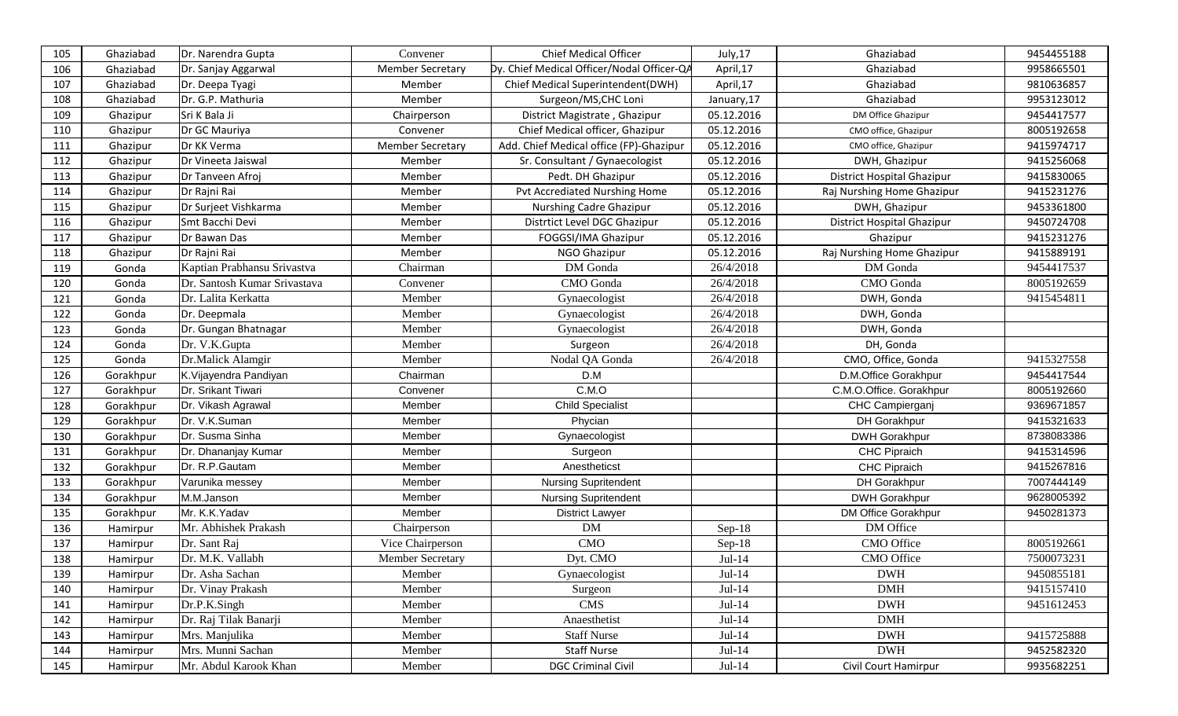| 105 | Ghaziabad | Dr. Narendra Gupta           | Convener                | <b>Chief Medical Officer</b>               | July,17     | Ghaziabad                  | 9454455188 |
|-----|-----------|------------------------------|-------------------------|--------------------------------------------|-------------|----------------------------|------------|
| 106 | Ghaziabad | Dr. Sanjay Aggarwal          | <b>Member Secretary</b> | Dy. Chief Medical Officer/Nodal Officer-QA | April,17    | Ghaziabad                  | 9958665501 |
| 107 | Ghaziabad | Dr. Deepa Tyagi              | Member                  | Chief Medical Superintendent(DWH)          | April,17    | Ghaziabad                  | 9810636857 |
| 108 | Ghaziabad | Dr. G.P. Mathuria            | Member                  | Surgeon/MS, CHC Loni                       | January, 17 | Ghaziabad                  | 9953123012 |
| 109 | Ghazipur  | Sri K Bala Ji                | Chairperson             | District Magistrate, Ghazipur              | 05.12.2016  | DM Office Ghazipur         | 9454417577 |
| 110 | Ghazipur  | Dr GC Mauriya                | Convener                | Chief Medical officer, Ghazipur            | 05.12.2016  | CMO office, Ghazipur       | 8005192658 |
| 111 | Ghazipur  | Dr KK Verma                  | <b>Member Secretary</b> | Add. Chief Medical office (FP)-Ghazipur    | 05.12.2016  | CMO office, Ghazipur       | 9415974717 |
| 112 | Ghazipur  | Dr Vineeta Jaiswal           | Member                  | Sr. Consultant / Gynaecologist             | 05.12.2016  | DWH, Ghazipur              | 9415256068 |
| 113 | Ghazipur  | Dr Tanveen Afroj             | Member                  | Pedt. DH Ghazipur                          | 05.12.2016  | District Hospital Ghazipur | 9415830065 |
| 114 | Ghazipur  | Dr Rajni Rai                 | Member                  | Pvt Accrediated Nurshing Home              | 05.12.2016  | Raj Nurshing Home Ghazipur | 9415231276 |
| 115 | Ghazipur  | Dr Surjeet Vishkarma         | Member                  | <b>Nurshing Cadre Ghazipur</b>             | 05.12.2016  | DWH, Ghazipur              | 9453361800 |
| 116 | Ghazipur  | Smt Bacchi Devi              | Member                  | Distrtict Level DGC Ghazipur               | 05.12.2016  | District Hospital Ghazipur | 9450724708 |
| 117 | Ghazipur  | Dr Bawan Das                 | Member                  | FOGGSI/IMA Ghazipur                        | 05.12.2016  | Ghazipur                   | 9415231276 |
| 118 | Ghazipur  | Dr Rajni Rai                 | Member                  | NGO Ghazipur                               | 05.12.2016  | Raj Nurshing Home Ghazipur | 9415889191 |
| 119 | Gonda     | Kaptian Prabhansu Srivastva  | Chairman                | DM Gonda                                   | 26/4/2018   | DM Gonda                   | 9454417537 |
| 120 | Gonda     | Dr. Santosh Kumar Srivastava | Convener                | CMO Gonda                                  | 26/4/2018   | CMO Gonda                  | 8005192659 |
| 121 | Gonda     | Dr. Lalita Kerkatta          | Member                  | Gynaecologist                              | 26/4/2018   | DWH, Gonda                 | 9415454811 |
| 122 | Gonda     | Dr. Deepmala                 | Member                  | Gynaecologist                              | 26/4/2018   | DWH, Gonda                 |            |
| 123 | Gonda     | Dr. Gungan Bhatnagar         | Member                  | Gynaecologist                              | 26/4/2018   | DWH, Gonda                 |            |
| 124 | Gonda     | Dr. V.K.Gupta                | Member                  | Surgeon                                    | 26/4/2018   | DH, Gonda                  |            |
| 125 | Gonda     | Dr.Malick Alamgir            | Member                  | Nodal QA Gonda                             | 26/4/2018   | CMO, Office, Gonda         | 9415327558 |
| 126 | Gorakhpur | K.Vijayendra Pandiyan        | Chairman                | D.M                                        |             | D.M.Office Gorakhpur       | 9454417544 |
| 127 | Gorakhpur | Dr. Srikant Tiwari           | Convener                | C.M.O                                      |             | C.M.O.Office. Gorakhpur    | 8005192660 |
| 128 | Gorakhpur | Dr. Vikash Agrawal           | Member                  | <b>Child Specialist</b>                    |             | CHC Campierganj            | 9369671857 |
| 129 | Gorakhpur | Dr. V.K.Suman                | Member                  | Phycian                                    |             | DH Gorakhpur               | 9415321633 |
| 130 | Gorakhpur | Dr. Susma Sinha              | Member                  | Gynaecologist                              |             | <b>DWH Gorakhpur</b>       | 8738083386 |
| 131 | Gorakhpur | Dr. Dhananjay Kumar          | Member                  | Surgeon                                    |             | CHC Pipraich               | 9415314596 |
| 132 | Gorakhpur | Dr. R.P.Gautam               | Member                  | Anestheticst                               |             | <b>CHC Pipraich</b>        | 9415267816 |
| 133 | Gorakhpur | Varunika messey              | Member                  | <b>Nursing Supritendent</b>                |             | DH Gorakhpur               | 7007444149 |
| 134 | Gorakhpur | M.M.Janson                   | Member                  | <b>Nursing Supritendent</b>                |             | <b>DWH Gorakhpur</b>       | 9628005392 |
| 135 | Gorakhpur | Mr. K.K.Yadav                | Member                  | <b>District Lawyer</b>                     |             | DM Office Gorakhpur        | 9450281373 |
| 136 | Hamirpur  | Mr. Abhishek Prakash         | Chairperson             | <b>DM</b>                                  | $Sep-18$    | DM Office                  |            |
| 137 | Hamirpur  | Dr. Sant Raj                 | Vice Chairperson        | CMO                                        | $Sep-18$    | CMO Office                 | 8005192661 |
| 138 | Hamirpur  | Dr. M.K. Vallabh             | Member Secretary        | Dyt. CMO                                   | Jul-14      | CMO Office                 | 7500073231 |
| 139 | Hamirpur  | Dr. Asha Sachan              | Member                  | Gynaecologist                              | Jul-14      | <b>DWH</b>                 | 9450855181 |
| 140 | Hamirpur  | Dr. Vinay Prakash            | Member                  | Surgeon                                    | $Jul-14$    | <b>DMH</b>                 | 9415157410 |
| 141 | Hamirpur  | Dr.P.K.Singh                 | Member                  | <b>CMS</b>                                 | $Jul-14$    | <b>DWH</b>                 | 9451612453 |
| 142 | Hamirpur  | Dr. Raj Tilak Banarji        | Member                  | Anaesthetist                               | $Jul-14$    | DMH                        |            |
| 143 | Hamirpur  | Mrs. Manjulika               | Member                  | <b>Staff Nurse</b>                         | $Jul-14$    | <b>DWH</b>                 | 9415725888 |
| 144 | Hamirpur  | Mrs. Munni Sachan            | Member                  | <b>Staff Nurse</b>                         | $Jul-14$    | <b>DWH</b>                 | 9452582320 |
| 145 | Hamirpur  | Mr. Abdul Karook Khan        | Member                  | <b>DGC Criminal Civil</b>                  | $Jul-14$    | Civil Court Hamirpur       | 9935682251 |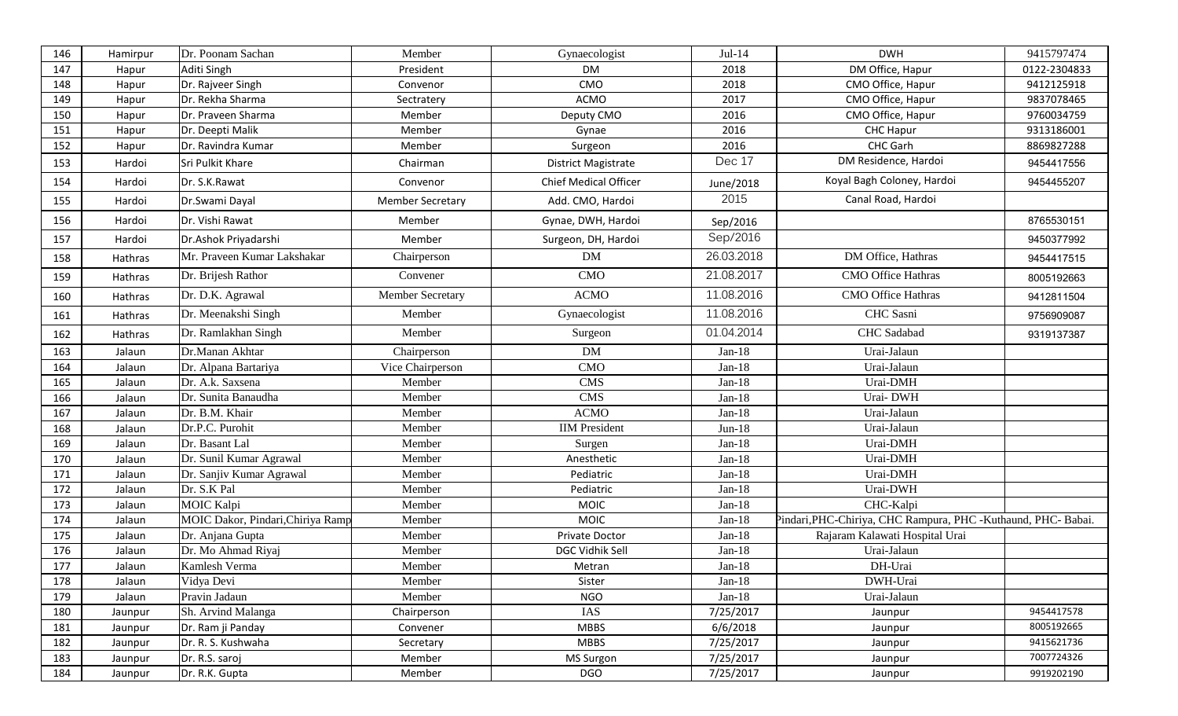| 146 | Hamirpur | Dr. Poonam Sachan                 | Member                  | Gynaecologist                | Jul-14     | <b>DWH</b>                                                     | 9415797474   |
|-----|----------|-----------------------------------|-------------------------|------------------------------|------------|----------------------------------------------------------------|--------------|
| 147 | Hapur    | Aditi Singh                       | President               | <b>DM</b>                    | 2018       | DM Office, Hapur                                               | 0122-2304833 |
| 148 | Hapur    | Dr. Rajveer Singh                 | Convenor                | CMO                          | 2018       | CMO Office, Hapur                                              | 9412125918   |
| 149 | Hapur    | Dr. Rekha Sharma                  | Sectratery              | <b>ACMO</b>                  | 2017       | CMO Office, Hapur                                              | 9837078465   |
| 150 | Hapur    | Dr. Praveen Sharma                | Member                  | Deputy CMO                   | 2016       | CMO Office, Hapur                                              | 9760034759   |
| 151 | Hapur    | Dr. Deepti Malik                  | Member                  | Gynae                        | 2016       | <b>CHC Hapur</b>                                               | 9313186001   |
| 152 | Hapur    | Dr. Ravindra Kumar                | Member                  | Surgeon                      | 2016       | CHC Garh                                                       | 8869827288   |
| 153 | Hardoi   | Sri Pulkit Khare                  | Chairman                | <b>District Magistrate</b>   | Dec 17     | DM Residence, Hardoi                                           | 9454417556   |
| 154 | Hardoi   | Dr. S.K.Rawat                     | Convenor                | <b>Chief Medical Officer</b> | June/2018  | Koyal Bagh Coloney, Hardoi                                     | 9454455207   |
| 155 | Hardoi   | Dr.Swami Dayal                    | <b>Member Secretary</b> | Add. CMO, Hardoi             | 2015       | Canal Road, Hardoi                                             |              |
| 156 | Hardoi   | Dr. Vishi Rawat                   | Member                  | Gynae, DWH, Hardoi           | Sep/2016   |                                                                | 8765530151   |
| 157 | Hardoi   | Dr.Ashok Priyadarshi              | Member                  | Surgeon, DH, Hardoi          | Sep/2016   |                                                                | 9450377992   |
| 158 | Hathras  | Mr. Praveen Kumar Lakshakar       | Chairperson             | DM                           | 26.03.2018 | DM Office, Hathras                                             | 9454417515   |
| 159 | Hathras  | Dr. Brijesh Rathor                | Convener                | <b>CMO</b>                   | 21.08.2017 | <b>CMO Office Hathras</b>                                      | 8005192663   |
| 160 | Hathras  | Dr. D.K. Agrawal                  | Member Secretary        | <b>ACMO</b>                  | 11.08.2016 | <b>CMO</b> Office Hathras                                      | 9412811504   |
| 161 | Hathras  | Dr. Meenakshi Singh               | Member                  | Gynaecologist                | 11.08.2016 | CHC Sasni                                                      | 9756909087   |
| 162 | Hathras  | Dr. Ramlakhan Singh               | Member                  | Surgeon                      | 01.04.2014 | <b>CHC</b> Sadabad                                             | 9319137387   |
| 163 | Jalaun   | Dr.Manan Akhtar                   | Chairperson             | <b>DM</b>                    | Jan-18     | Urai-Jalaun                                                    |              |
| 164 | Jalaun   | Dr. Alpana Bartariya              | Vice Chairperson        | CMO                          | $Jan-18$   | Urai-Jalaun                                                    |              |
| 165 | Jalaun   | Dr. A.k. Saxsena                  | Member                  | <b>CMS</b>                   | $Jan-18$   | Urai-DMH                                                       |              |
| 166 | Jalaun   | Dr. Sunita Banaudha               | Member                  | <b>CMS</b>                   | $Jan-18$   | Urai-DWH                                                       |              |
| 167 | Jalaun   | Dr. B.M. Khair                    | Member                  | <b>ACMO</b>                  | $Jan-18$   | Urai-Jalaun                                                    |              |
| 168 | Jalaun   | Dr.P.C. Purohit                   | Member                  | <b>IIM</b> President         | $Jun-18$   | Urai-Jalaun                                                    |              |
| 169 | Jalaun   | Dr. Basant Lal                    | Member                  | Surgen                       | $Jan-18$   | Urai-DMH                                                       |              |
| 170 | Jalaun   | Dr. Sunil Kumar Agrawal           | Member                  | Anesthetic                   | $Jan-18$   | Urai-DMH                                                       |              |
| 171 | Jalaun   | Dr. Sanjiv Kumar Agrawal          | Member                  | Pediatric                    | $Jan-18$   | Urai-DMH                                                       |              |
| 172 | Jalaun   | Dr. S.K Pal                       | Member                  | Pediatric                    | $Jan-18$   | Urai-DWH                                                       |              |
| 173 | Jalaun   | <b>MOIC Kalpi</b>                 | Member                  | <b>MOIC</b>                  | $Jan-18$   | CHC-Kalpi                                                      |              |
| 174 | Jalaun   | MOIC Dakor, Pindari, Chiriya Ramp | Member                  | <b>MOIC</b>                  | $Jan-18$   | Pindari, PHC-Chiriya, CHC Rampura, PHC - Kuthaund, PHC- Babai. |              |
| 175 | Jalaun   | Dr. Anjana Gupta                  | Member                  | Private Doctor               | $Jan-18$   | Rajaram Kalawati Hospital Urai                                 |              |
| 176 | Jalaun   | Dr. Mo Ahmad Riyaj                | Member                  | DGC Vidhik Sell              | $Jan-18$   | Urai-Jalaun                                                    |              |
| 177 | Jalaun   | Kamlesh Verma                     | Member                  | Metran                       | $Jan-18$   | DH-Urai                                                        |              |
| 178 | Jalaun   | Vidya Devi                        | Member                  | Sister                       | $Jan-18$   | DWH-Urai                                                       |              |
| 179 | Jalaun   | Pravin Jadaun                     | Member                  | <b>NGO</b>                   | $Jan-18$   | Urai-Jalaun                                                    |              |
| 180 | Jaunpur  | Sh. Arvind Malanga                | Chairperson             | IAS                          | 7/25/2017  | Jaunpur                                                        | 9454417578   |
| 181 | Jaunpur  | Dr. Ram ji Panday                 | Convener                | <b>MBBS</b>                  | 6/6/2018   | Jaunpur                                                        | 8005192665   |
| 182 | Jaunpur  | Dr. R. S. Kushwaha                | Secretary               | <b>MBBS</b>                  | 7/25/2017  | Jaunpur                                                        | 9415621736   |
| 183 | Jaunpur  | Dr. R.S. saroj                    | Member                  | <b>MS Surgon</b>             | 7/25/2017  | Jaunpur                                                        | 7007724326   |
| 184 | Jaunpur  | Dr. R.K. Gupta                    | Member                  | <b>DGO</b>                   | 7/25/2017  | Jaunpur                                                        | 9919202190   |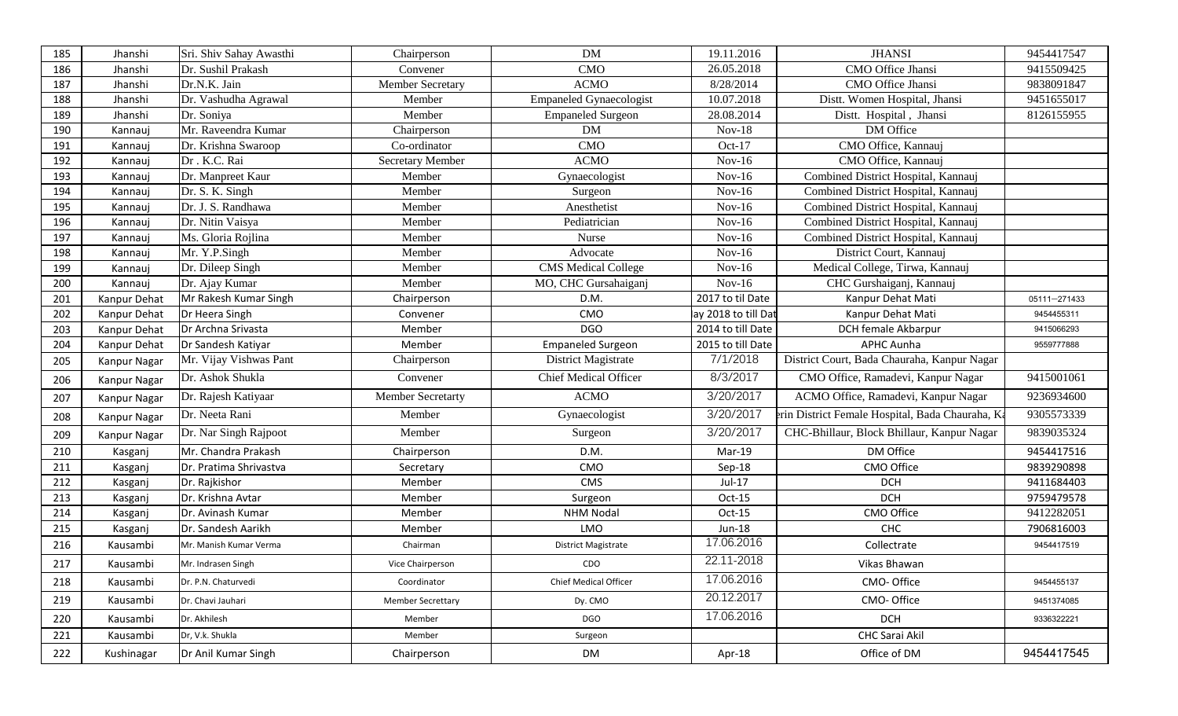| 185 | Jhanshi      | Sri. Shiv Sahay Awasthi | Chairperson              | <b>DM</b>                      | 19.11.2016          | <b>JHANSI</b>                                    | 9454417547   |
|-----|--------------|-------------------------|--------------------------|--------------------------------|---------------------|--------------------------------------------------|--------------|
| 186 | Jhanshi      | Dr. Sushil Prakash      | Convener                 | <b>CMO</b>                     | 26.05.2018          | CMO Office Jhansi                                | 9415509425   |
| 187 | Jhanshi      | Dr.N.K. Jain            | Member Secretary         | <b>ACMO</b>                    | 8/28/2014           | CMO Office Jhansi                                | 9838091847   |
| 188 | Jhanshi      | Dr. Vashudha Agrawal    | Member                   | <b>Empaneled Gynaecologist</b> | 10.07.2018          | Distt. Women Hospital, Jhansi                    | 9451655017   |
| 189 | Jhanshi      | Dr. Soniya              | Member                   | <b>Empaneled Surgeon</b>       | 28.08.2014          | Distt. Hospital, Jhansi                          | 8126155955   |
| 190 | Kannauj      | Mr. Raveendra Kumar     | Chairperson              | DM                             | $Nov-18$            | DM Office                                        |              |
| 191 | Kannauj      | Dr. Krishna Swaroop     | Co-ordinator             | <b>CMO</b>                     | $Oct-17$            | CMO Office, Kannauj                              |              |
| 192 | Kannauj      | Dr. K.C. Rai            | Secretary Member         | <b>ACMO</b>                    | $Nov-16$            | CMO Office, Kannauj                              |              |
| 193 | Kannauj      | Dr. Manpreet Kaur       | Member                   | Gynaecologist                  | $Nov-16$            | Combined District Hospital, Kannauj              |              |
| 194 | Kannauj      | Dr. S. K. Singh         | Member                   | Surgeon                        | $Nov-16$            | Combined District Hospital, Kannauj              |              |
| 195 | Kannauj      | Dr. J. S. Randhawa      | Member                   | Anesthetist                    | $Nov-16$            | Combined District Hospital, Kannauj              |              |
| 196 | Kannauj      | Dr. Nitin Vaisya        | Member                   | Pediatrician                   | $Nov-16$            | Combined District Hospital, Kannauj              |              |
| 197 | Kannauj      | Ms. Gloria Rojlina      | Member                   | Nurse                          | $Nov-16$            | Combined District Hospital, Kannauj              |              |
| 198 | Kannauj      | Mr. Y.P.Singh           | Member                   | Advocate                       | $Nov-16$            | District Court, Kannauj                          |              |
| 199 | Kannauj      | Dr. Dileep Singh        | Member                   | <b>CMS</b> Medical College     | $Nov-16$            | Medical College, Tirwa, Kannauj                  |              |
| 200 | Kannauj      | Dr. Ajay Kumar          | Member                   | MO, CHC Gursahaiganj           | $Nov-16$            | CHC Gurshaiganj, Kannauj                         |              |
| 201 | Kanpur Dehat | Mr Rakesh Kumar Singh   | Chairperson              | D.M.                           | 2017 to til Date    | Kanpur Dehat Mati                                | 05111-271433 |
| 202 | Kanpur Dehat | Dr Heera Singh          | Convener                 | CMO                            | ay 2018 to till Dat | Kanpur Dehat Mati                                | 9454455311   |
| 203 | Kanpur Dehat | Dr Archna Srivasta      | Member                   | <b>DGO</b>                     | 2014 to till Date   | DCH female Akbarpur                              | 9415066293   |
| 204 | Kanpur Dehat | Dr Sandesh Katiyar      | Member                   | <b>Empaneled Surgeon</b>       | 2015 to till Date   | <b>APHC Aunha</b>                                | 9559777888   |
| 205 | Kanpur Nagar | Mr. Vijay Vishwas Pant  | Chairperson              | District Magistrate            | 7/1/2018            | District Court, Bada Chauraha, Kanpur Nagar      |              |
| 206 | Kanpur Nagar | Dr. Ashok Shukla        | Convener                 | <b>Chief Medical Officer</b>   | 8/3/2017            | CMO Office, Ramadevi, Kanpur Nagar               | 9415001061   |
| 207 | Kanpur Nagar | Dr. Rajesh Katiyaar     | <b>Member Secretarty</b> | <b>ACMO</b>                    | 3/20/2017           | ACMO Office, Ramadevi, Kanpur Nagar              | 9236934600   |
| 208 | Kanpur Nagar | Dr. Neeta Rani          | Member                   | Gynaecologist                  | 3/20/2017           | erin District Female Hospital, Bada Chauraha, Ka | 9305573339   |
| 209 | Kanpur Nagar | Dr. Nar Singh Rajpoot   | Member                   | Surgeon                        | 3/20/2017           | CHC-Bhillaur, Block Bhillaur, Kanpur Nagar       | 9839035324   |
| 210 | Kasganj      | Mr. Chandra Prakash     | Chairperson              | D.M.                           | Mar-19              | DM Office                                        | 9454417516   |
| 211 | Kasganj      | Dr. Pratima Shrivastva  | Secretary                | CMO                            | Sep-18              | CMO Office                                       | 9839290898   |
| 212 | Kasganj      | Dr. Rajkishor           | Member                   | CMS                            | Jul-17              | <b>DCH</b>                                       | 9411684403   |
| 213 | Kasganj      | Dr. Krishna Avtar       | Member                   | Surgeon                        | Oct-15              | <b>DCH</b>                                       | 9759479578   |
| 214 | Kasganj      | Dr. Avinash Kumar       | Member                   | <b>NHM Nodal</b>               | Oct-15              | CMO Office                                       | 9412282051   |
| 215 | Kasganj      | Dr. Sandesh Aarikh      | Member                   | LMO                            | Jun-18              | CHC                                              | 7906816003   |
| 216 | Kausambi     | Mr. Manish Kumar Verma  | Chairman                 | <b>District Magistrate</b>     | 17.06.2016          | Collectrate                                      | 9454417519   |
| 217 | Kausambi     | Mr. Indrasen Singh      | Vice Chairperson         | CDO                            | 22.11-2018          | Vikas Bhawan                                     |              |
| 218 | Kausambi     | Dr. P.N. Chaturvedi     | Coordinator              | Chief Medical Officer          | 17.06.2016          | CMO-Office                                       | 9454455137   |
| 219 | Kausambi     | Dr. Chavi Jauhari       | <b>Member Secrettary</b> | Dy. CMO                        | 20.12.2017          | CMO-Office                                       | 9451374085   |
| 220 | Kausambi     | Dr. Akhilesh            | Member                   | DGO                            | 17.06.2016          | <b>DCH</b>                                       | 9336322221   |
| 221 | Kausambi     | Dr, V.k. Shukla         | Member                   | Surgeon                        |                     | CHC Sarai Akil                                   |              |
| 222 | Kushinagar   | Dr Anil Kumar Singh     | Chairperson              | DM                             | Apr-18              | Office of DM                                     | 9454417545   |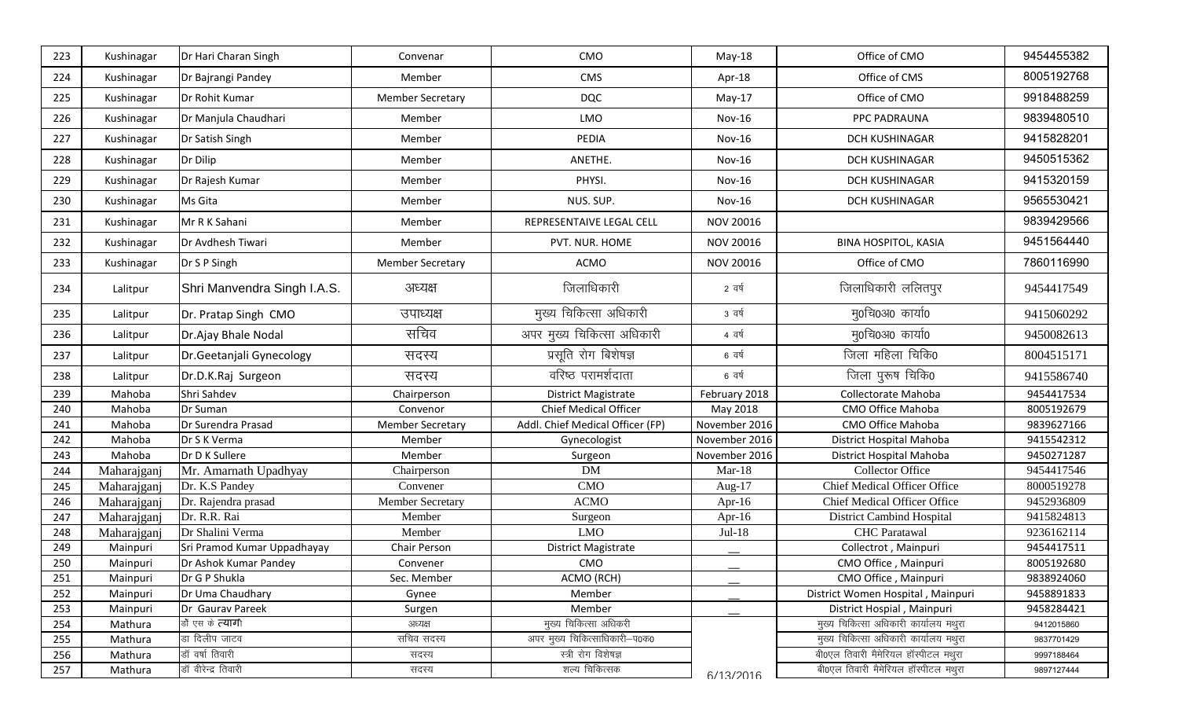| 223 | Kushinagar  | Dr Hari Charan Singh        | Convenar                | CMO                              | May-18           | Office of CMO                         | 9454455382 |
|-----|-------------|-----------------------------|-------------------------|----------------------------------|------------------|---------------------------------------|------------|
| 224 | Kushinagar  | Dr Bajrangi Pandey          | Member                  | CMS                              | Apr-18           | Office of CMS                         | 8005192768 |
| 225 | Kushinagar  | Dr Rohit Kumar              | <b>Member Secretary</b> | <b>DQC</b>                       | $May-17$         | Office of CMO                         | 9918488259 |
| 226 | Kushinagar  | Dr Manjula Chaudhari        | Member                  | LMO                              | $Nov-16$         | PPC PADRAUNA                          | 9839480510 |
| 227 | Kushinagar  | Dr Satish Singh             | Member                  | PEDIA                            | $Nov-16$         | <b>DCH KUSHINAGAR</b>                 | 9415828201 |
| 228 | Kushinagar  | Dr Dilip                    | Member                  | ANETHE.                          | $Nov-16$         | DCH KUSHINAGAR                        | 9450515362 |
| 229 | Kushinagar  | Dr Rajesh Kumar             | Member                  | PHYSI.                           | <b>Nov-16</b>    | DCH KUSHINAGAR                        | 9415320159 |
| 230 | Kushinagar  | Ms Gita                     | Member                  | NUS. SUP.                        | <b>Nov-16</b>    | <b>DCH KUSHINAGAR</b>                 | 9565530421 |
| 231 | Kushinagar  | Mr R K Sahani               | Member                  | REPRESENTAIVE LEGAL CELL         | NOV 20016        |                                       | 9839429566 |
| 232 | Kushinagar  | Dr Avdhesh Tiwari           | Member                  | PVT. NUR. HOME                   | <b>NOV 20016</b> | <b>BINA HOSPITOL, KASIA</b>           | 9451564440 |
| 233 | Kushinagar  | Dr S P Singh                | <b>Member Secretary</b> | <b>ACMO</b>                      | <b>NOV 20016</b> | Office of CMO                         | 7860116990 |
| 234 | Lalitpur    | Shri Manvendra Singh I.A.S. | अध्यक्ष                 | जिलाधिकारी                       | 2 वर्ष           | जिलाधिकारी ललितपुर                    | 9454417549 |
| 235 | Lalitpur    | Dr. Pratap Singh CMO        | उपाध्यक्ष               | मुख्य चिकित्सा अधिकारी           | 3 वर्ष           | मु0चि0अ0 कार्या0                      | 9415060292 |
| 236 | Lalitpur    | Dr.Ajay Bhale Nodal         | सचिव                    | अपर मुख्य चिकित्सा अधिकारी       | 4 वर्ष           | मु0चि0अ0 कार्या0                      | 9450082613 |
| 237 | Lalitpur    | Dr.Geetanjali Gynecology    | सदस्य                   | प्रसूति रोग बिशेषज्ञ             | 6 वर्ष           | जिला महिला चिकि0                      | 8004515171 |
| 238 | Lalitpur    | Dr.D.K.Raj Surgeon          | सदस्य                   | वरिष्ठ परामर्शदाता               | 6 वर्ष           | जिला पुरूष चिकि0                      | 9415586740 |
| 239 | Mahoba      | Shri Sahdev                 | Chairperson             | <b>District Magistrate</b>       | February 2018    | Collectorate Mahoba                   | 9454417534 |
| 240 | Mahoba      | Dr Suman                    | Convenor                | <b>Chief Medical Officer</b>     | May 2018         | CMO Office Mahoba                     | 8005192679 |
| 241 | Mahoba      | Dr Surendra Prasad          | <b>Member Secretary</b> | Addl. Chief Medical Officer (FP) | November 2016    | CMO Office Mahoba                     | 9839627166 |
| 242 | Mahoba      | Dr S K Verma                | Member                  | Gynecologist                     | November 2016    | District Hospital Mahoba              | 9415542312 |
| 243 | Mahoba      | Dr D K Sullere              | Member                  | Surgeon                          | November 2016    | District Hospital Mahoba              | 9450271287 |
| 244 | Maharajganj | Mr. Amarnath Upadhyay       | Chairperson             | <b>DM</b>                        | $Mar-18$         | <b>Collector Office</b>               | 9454417546 |
| 245 | Maharajganj | Dr. K.S Pandey              | Convener                | CMO                              | Aug- $17$        | Chief Medical Officer Office          | 8000519278 |
| 246 | Maharajganj | Dr. Rajendra prasad         | <b>Member Secretary</b> | <b>ACMO</b>                      | Apr-16           | Chief Medical Officer Office          | 9452936809 |
| 247 | Maharajganj | Dr. R.R. Rai                | Member                  | Surgeon                          | Apr-16           | <b>District Cambind Hospital</b>      | 9415824813 |
| 248 | Maharajganj | Dr Shalini Verma            | Member                  | <b>LMO</b>                       | Jul-18           | <b>CHC</b> Paratawal                  | 9236162114 |
| 249 | Mainpuri    | Sri Pramod Kumar Uppadhayay | Chair Person            | District Magistrate              |                  | Collectrot, Mainpuri                  | 9454417511 |
| 250 | Mainpuri    | Dr Ashok Kumar Pandey       | Convener                | CMO                              |                  | CMO Office, Mainpuri                  | 8005192680 |
| 251 | Mainpuri    | Dr G P Shukla               | Sec. Member             | ACMO (RCH)                       |                  | CMO Office, Mainpuri                  | 9838924060 |
| 252 | Mainpuri    | Dr Uma Chaudhary            | Gynee                   | Member                           |                  | District Women Hospital, Mainpuri     | 9458891833 |
| 253 | Mainpuri    | Dr Gaurav Pareek            | Surgen                  | Member                           |                  | District Hospial, Mainpuri            | 9458284421 |
| 254 | Mathura     | डों एस के त्यागी            | अध्यक्ष                 | मुख्य चिकित्सा अधिकरी            |                  | मुख्य चिकित्सा अधिकारी कार्यालय मथुरा | 9412015860 |
| 255 | Mathura     | डा दिलीप जाटव               | सचिव सदस्य              | अपर मुख्य चिकित्साधिकारी-प0क0    |                  | मुख्य चिकित्सा अधिकारी कार्यालय मथुरा | 9837701429 |
| 256 | Mathura     | डॉ वर्षा तिवारी             | सदस्य                   | स्त्री रोग विशेषज्ञ              |                  | बी0एल तिवारी मैमेरियल हॉस्पीटल मथुरा  | 9997188464 |
| 257 | Mathura     | डॉ वीरेन्द्र तिवारी         | सदस्य                   | शल्य चिकित्सक                    | 6/13/2016        | बी0एल तिवारी मैमेरियल हॉस्पीटल मथुरा  | 9897127444 |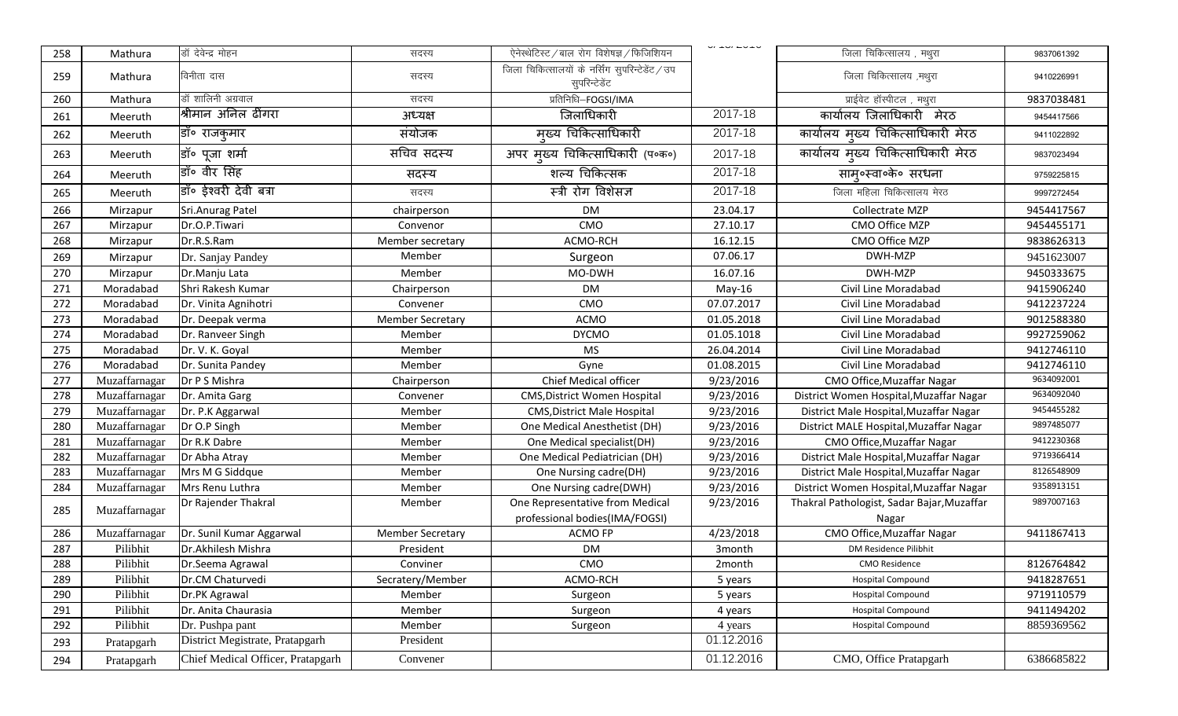| 258        | Mathura                   | डॉ देवेन्द्र मोहन                 | सदस्य                   | ऐनेस्थेटिस्ट / बाल रोग विशेषज्ञ / फिजिशियन                       | $V = V - V - V$    | जिला चिकित्सालय, मथुरा                     | 9837061392 |
|------------|---------------------------|-----------------------------------|-------------------------|------------------------------------------------------------------|--------------------|--------------------------------------------|------------|
| 259        | Mathura                   | विनीता दास                        | सदस्य                   | जिला चिकित्सालयों के नर्सिंग सुपरिन्टेडेंट / उप<br>सुपरिन्टेडेंट |                    | जिला चिकित्सालय ,मथुरा                     | 9410226991 |
| 260        | Mathura                   | डॉ शालिनी अग्रवाल                 | सदस्य                   | प्रतिनिधि-FOGSI/IMA                                              |                    | प्राईवेट हॉस्पीटल , मथुरा                  | 9837038481 |
| 261        | Meeruth                   | श्रीमान अनिल ढींगरा               | अध्यक्ष                 | जिलाधिकारी                                                       | 2017-18            | कार्यालय जिलाधिकारी मेरठ                   | 9454417566 |
| 262        | Meeruth                   | डॉ॰ राजकुमार                      | संयोजक                  | मुख्य चिकित्साधिकारी                                             | 2017-18            | कार्यालय मुख्य चिकित्साधिकारी मेरठ         | 9411022892 |
| 263        | Meeruth                   | डॉ॰ पूजा शर्मा                    | सचिव सदस्य              | अपर मुख्य चिकित्साधिकारी (प०क०)                                  | 2017-18            | कार्यालय मुख्य चिकित्साधिकारी मेरठ         | 9837023494 |
| 264        | Meeruth                   | डॉ॰ वीर सिंह                      | सदस्य                   | शल्य चिकित्सक                                                    | 2017-18            | साम्॰स्वा॰के॰ सरधना                        | 9759225815 |
| 265        | Meeruth                   | डॉ॰ ईश्वरी देवी बत्रा             | सदस्य                   | स्त्री रोग विशेसज्ञ                                              | 2017-18            | जिला महिला चिकित्सालय मेरठ                 | 9997272454 |
| 266        | Mirzapur                  | Sri.Anurag Patel                  | chairperson             | <b>DM</b>                                                        | 23.04.17           | Collectrate MZP                            | 9454417567 |
| 267        | Mirzapur                  | Dr.O.P.Tiwari                     | Convenor                | CMO                                                              | 27.10.17           | CMO Office MZP                             | 9454455171 |
| 268        | Mirzapur                  | Dr.R.S.Ram                        | Member secretary        | ACMO-RCH                                                         | 16.12.15           | CMO Office MZP                             | 9838626313 |
| 269        | Mirzapur                  | Dr. Sanjay Pandey                 | Member                  | Surgeon                                                          | 07.06.17           | DWH-MZP                                    | 9451623007 |
| 270        | Mirzapur                  | Dr.Manju Lata                     | Member                  | MO-DWH                                                           | 16.07.16           | DWH-MZP                                    | 9450333675 |
| 271        | Moradabad                 | Shri Rakesh Kumar                 | Chairperson             | <b>DM</b>                                                        | May-16             | Civil Line Moradabad                       | 9415906240 |
| 272        | Moradabad                 | Dr. Vinita Agnihotri              | Convener                | CMO                                                              | 07.07.2017         | Civil Line Moradabad                       | 9412237224 |
| 273        | Moradabad                 | Dr. Deepak verma                  | <b>Member Secretary</b> | <b>ACMO</b>                                                      | 01.05.2018         | Civil Line Moradabad                       | 9012588380 |
| 274        | Moradabad                 | Dr. Ranveer Singh                 | Member                  | <b>DYCMO</b>                                                     | 01.05.1018         | Civil Line Moradabad                       | 9927259062 |
| 275        | Moradabad                 | Dr. V. K. Goyal                   | Member                  | <b>MS</b>                                                        | 26.04.2014         | Civil Line Moradabad                       | 9412746110 |
| 276        | Moradabad                 | Dr. Sunita Pandey                 | Member                  | Gyne                                                             | 01.08.2015         | Civil Line Moradabad                       | 9412746110 |
| 277        | Muzaffarnagar             | Dr P S Mishra                     | Chairperson             | Chief Medical officer                                            | 9/23/2016          | CMO Office, Muzaffar Nagar                 | 9634092001 |
| 278        | Muzaffarnagar             | Dr. Amita Garg                    | Convener                | CMS, District Women Hospital                                     | 9/23/2016          | District Women Hospital, Muzaffar Nagar    | 9634092040 |
| 279        | Muzaffarnagar             | Dr. P.K Aggarwal                  | Member                  | <b>CMS, District Male Hospital</b>                               | 9/23/2016          | District Male Hospital, Muzaffar Nagar     | 9454455282 |
| 280        | Muzaffarnagar             | Dr O.P Singh                      | Member                  | One Medical Anesthetist (DH)                                     | 9/23/2016          | District MALE Hospital, Muzaffar Nagar     | 9897485077 |
| 281        | Muzaffarnagar             | Dr R.K Dabre                      | Member                  | One Medical specialist(DH)                                       | 9/23/2016          | CMO Office, Muzaffar Nagar                 | 9412230368 |
| 282        | Muzaffarnagar             | Dr Abha Atray                     | Member                  | One Medical Pediatrician (DH)                                    | 9/23/2016          | District Male Hospital, Muzaffar Nagar     | 9719366414 |
| 283        | Muzaffarnagar             | Mrs M G Siddque                   | Member                  | One Nursing cadre(DH)                                            | 9/23/2016          | District Male Hospital, Muzaffar Nagar     | 8126548909 |
| 284        | Muzaffarnagar             | Mrs Renu Luthra                   | Member                  | One Nursing cadre(DWH)                                           | 9/23/2016          | District Women Hospital, Muzaffar Nagar    | 9358913151 |
| 285        | Muzaffarnagar             | Dr Rajender Thakral               | Member                  | One Representative from Medical                                  | 9/23/2016          | Thakral Pathologist, Sadar Bajar, Muzaffar | 9897007163 |
|            |                           |                                   |                         | professional bodies(IMA/FOGSI)                                   |                    | Nagar                                      |            |
| 286<br>287 | Muzaffarnagar<br>Pilibhit | Dr. Sunil Kumar Aggarwal          | <b>Member Secretary</b> | ACMO FP                                                          | 4/23/2018          | CMO Office, Muzaffar Nagar                 | 9411867413 |
|            |                           | Dr.Akhilesh Mishra                | President               | <b>DM</b>                                                        | 3 <sub>month</sub> | DM Residence Pilibhit                      |            |
| 288        | Pilibhit                  | Dr.Seema Agrawal                  | Conviner                | CMO                                                              | 2month             | <b>CMO Residence</b>                       | 8126764842 |
| 289        | Pilibhit                  | Dr.CM Chaturvedi                  | Secratery/Member        | ACMO-RCH                                                         | 5 years            | <b>Hospital Compound</b>                   | 9418287651 |
| 290        | Pilibhit                  | Dr.PK Agrawal                     | Member                  | Surgeon                                                          | 5 years            | <b>Hospital Compound</b>                   | 9719110579 |
| 291        | Pilibhit                  | Dr. Anita Chaurasia               | Member                  | Surgeon                                                          | 4 years            | Hospital Compound                          | 9411494202 |
| 292        | Pilibhit                  | Dr. Pushpa pant                   | Member                  | Surgeon                                                          | 4 years            | Hospital Compound                          | 8859369562 |
| 293        | Pratapgarh                | District Megistrate, Pratapgarh   | President               |                                                                  | 01.12.2016         |                                            |            |
| 294        | Pratapgarh                | Chief Medical Officer, Pratapgarh | Convener                |                                                                  | 01.12.2016         | CMO, Office Pratapgarh                     | 6386685822 |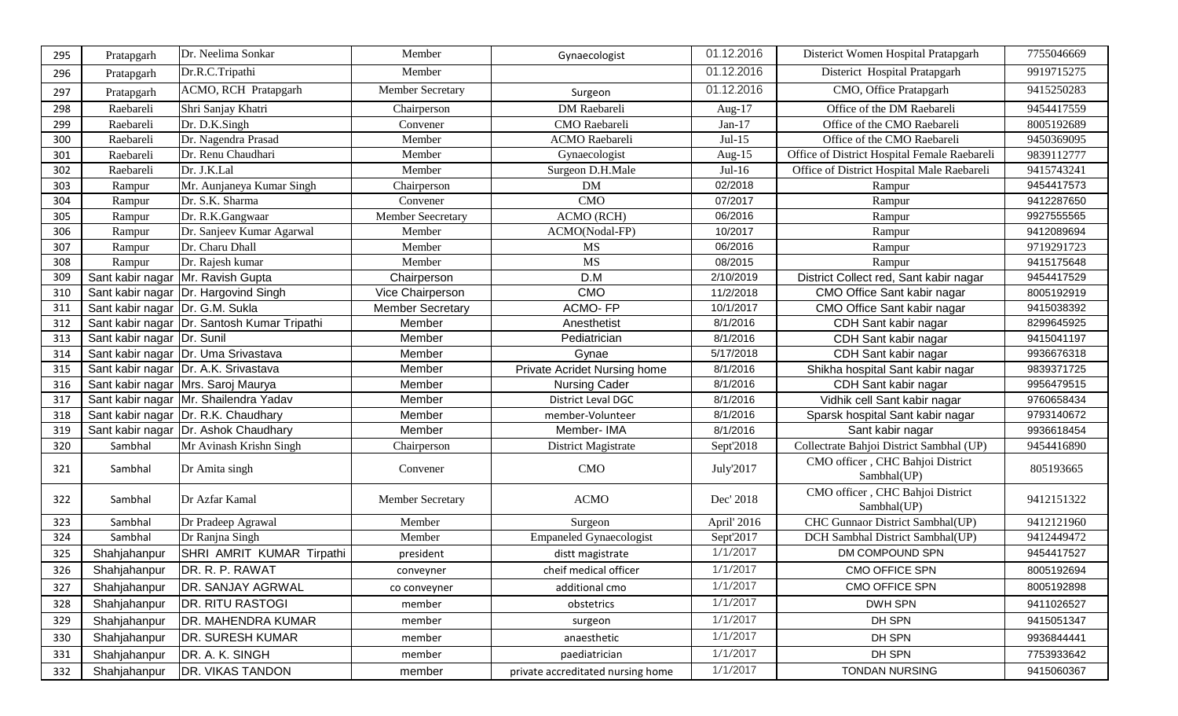| 295 | Pratapgarh                      | Dr. Neelima Sonkar                          | Member                  | Gynaecologist                     | 01.12.2016  | Disterict Women Hospital Pratapgarh             | 7755046669 |
|-----|---------------------------------|---------------------------------------------|-------------------------|-----------------------------------|-------------|-------------------------------------------------|------------|
| 296 | Pratapgarh                      | Dr.R.C.Tripathi                             | Member                  |                                   | 01.12.2016  | Disterict Hospital Pratapgarh                   | 9919715275 |
| 297 | Pratapgarh                      | ACMO, RCH Pratapgarh                        | Member Secretary        | Surgeon                           | 01.12.2016  | CMO, Office Pratapgarh                          | 9415250283 |
| 298 | Raebareli                       | Shri Sanjay Khatri                          | Chairperson             | DM Raebareli                      | Aug- $17$   | Office of the DM Raebareli                      | 9454417559 |
| 299 | Raebareli                       | Dr. D.K.Singh                               | Convener                | CMO Raebareli                     | $Jan-17$    | Office of the CMO Raebareli                     | 8005192689 |
| 300 | Raebareli                       | Dr. Nagendra Prasad                         | Member                  | <b>ACMO</b> Raebareli             | $Jul-15$    | Office of the CMO Raebareli                     | 9450369095 |
| 301 | Raebareli                       | Dr. Renu Chaudhari                          | Member                  | Gynaecologist                     | Aug- $15$   | Office of District Hospital Female Raebareli    | 9839112777 |
| 302 | Raebareli                       | Dr. J.K.Lal                                 | Member                  | Surgeon D.H.Male                  | $Jul-16$    | Office of District Hospital Male Raebareli      | 9415743241 |
| 303 | Rampur                          | Mr. Aunjaneya Kumar Singh                   | Chairperson             | DM                                | 02/2018     | Rampur                                          | 9454417573 |
| 304 | Rampur                          | Dr. S.K. Sharma                             | Convener                | CMO                               | 07/2017     | Rampur                                          | 9412287650 |
| 305 | Rampur                          | Dr. R.K.Gangwaar                            | Member Seecretary       | ACMO (RCH)                        | 06/2016     | Rampur                                          | 9927555565 |
| 306 | Rampur                          | Dr. Sanjeev Kumar Agarwal                   | Member                  | ACMO(Nodal-FP)                    | 10/2017     | Rampur                                          | 9412089694 |
| 307 | Rampur                          | Dr. Charu Dhall                             | Member                  | MS                                | 06/2016     | Rampur                                          | 9719291723 |
| 308 | Rampur                          | Dr. Rajesh kumar                            | Member                  | <b>MS</b>                         | 08/2015     | Rampur                                          | 9415175648 |
| 309 |                                 | Sant kabir nagar Mr. Ravish Gupta           | Chairperson             | D.M                               | 2/10/2019   | District Collect red, Sant kabir nagar          | 9454417529 |
| 310 |                                 | Sant kabir nagar   Dr. Hargovind Singh      | Vice Chairperson        | <b>CMO</b>                        | 11/2/2018   | CMO Office Sant kabir nagar                     | 8005192919 |
| 311 | Sant kabir nagar Dr. G.M. Sukla |                                             | <b>Member Secretary</b> | <b>ACMO-FP</b>                    | 10/1/2017   | CMO Office Sant kabir nagar                     | 9415038392 |
| 312 |                                 | Sant kabir nagar Dr. Santosh Kumar Tripathi | Member                  | Anesthetist                       | 8/1/2016    | CDH Sant kabir nagar                            | 8299645925 |
| 313 | Sant kabir nagar Dr. Sunil      |                                             | Member                  | Pediatrician                      | 8/1/2016    | CDH Sant kabir nagar                            | 9415041197 |
| 314 |                                 | Sant kabir nagar Dr. Uma Srivastava         | Member                  | Gynae                             | 5/17/2018   | CDH Sant kabir nagar                            | 9936676318 |
| 315 |                                 | Sant kabir nagar Dr. A.K. Srivastava        | Member                  | Private Acridet Nursing home      | 8/1/2016    | Shikha hospital Sant kabir nagar                | 9839371725 |
| 316 |                                 | Sant kabir nagar Mrs. Saroj Maurya          | Member                  | <b>Nursing Cader</b>              | 8/1/2016    | CDH Sant kabir nagar                            | 9956479515 |
| 317 |                                 | Sant kabir nagar Mr. Shailendra Yadav       | Member                  | District Leval DGC                | 8/1/2016    | Vidhik cell Sant kabir nagar                    | 9760658434 |
| 318 |                                 | Sant kabir nagar   Dr. R.K. Chaudhary       | Member                  | member-Volunteer                  | 8/1/2016    | Sparsk hospital Sant kabir nagar                | 9793140672 |
| 319 |                                 | Sant kabir nagar   Dr. Ashok Chaudhary      | Member                  | Member-IMA                        | 8/1/2016    | Sant kabir nagar                                | 9936618454 |
| 320 | Sambhal                         | Mr Avinash Krishn Singh                     | Chairperson             | District Magistrate               | Sept'2018   | Collectrate Bahjoi District Sambhal (UP)        | 9454416890 |
| 321 | Sambhal                         | Dr Amita singh                              | Convener                | <b>CMO</b>                        | July'2017   | CMO officer, CHC Bahjoi District<br>Sambhal(UP) | 805193665  |
| 322 | Sambhal                         | Dr Azfar Kamal                              | <b>Member Secretary</b> | <b>ACMO</b>                       | Dec' 2018   | CMO officer, CHC Bahjoi District<br>Sambhal(UP) | 9412151322 |
| 323 | Sambhal                         | Dr Pradeep Agrawal                          | Member                  | Surgeon                           | April' 2016 | CHC Gunnaor District Sambhal(UP)                | 9412121960 |
| 324 | Sambhal                         | Dr Ranjna Singh                             | Member                  | <b>Empaneled Gynaecologist</b>    | Sept'2017   | DCH Sambhal District Sambhal(UP)                | 9412449472 |
| 325 | Shahjahanpur                    | SHRI AMRIT KUMAR Tirpathi                   | president               | distt magistrate                  | 1/1/2017    | DM COMPOUND SPN                                 | 9454417527 |
| 326 | Shahjahanpur                    | DR. R. P. RAWAT                             | conveyner               | cheif medical officer             | 1/1/2017    | CMO OFFICE SPN                                  | 8005192694 |
| 327 | Shahjahanpur                    | <b>DR. SANJAY AGRWAL</b>                    | co conveyner            | additional cmo                    | 1/1/2017    | CMO OFFICE SPN                                  | 8005192898 |
| 328 | Shahjahanpur                    | <b>DR. RITU RASTOGI</b>                     | member                  | obstetrics                        | 1/1/2017    | DWH SPN                                         | 9411026527 |
| 329 | Shahjahanpur                    | <b>DR. MAHENDRA KUMAR</b>                   | member                  | surgeon                           | 1/1/2017    | DH SPN                                          | 9415051347 |
| 330 | Shahjahanpur                    | <b>DR. SURESH KUMAR</b>                     | member                  | anaesthetic                       | 1/1/2017    | DH SPN                                          | 9936844441 |
| 331 | Shahjahanpur                    | DR. A. K. SINGH                             | member                  | paediatrician                     | 1/1/2017    | DH SPN                                          | 7753933642 |
| 332 | Shahjahanpur                    | <b>DR. VIKAS TANDON</b>                     | member                  | private accreditated nursing home | 1/1/2017    | TONDAN NURSING                                  | 9415060367 |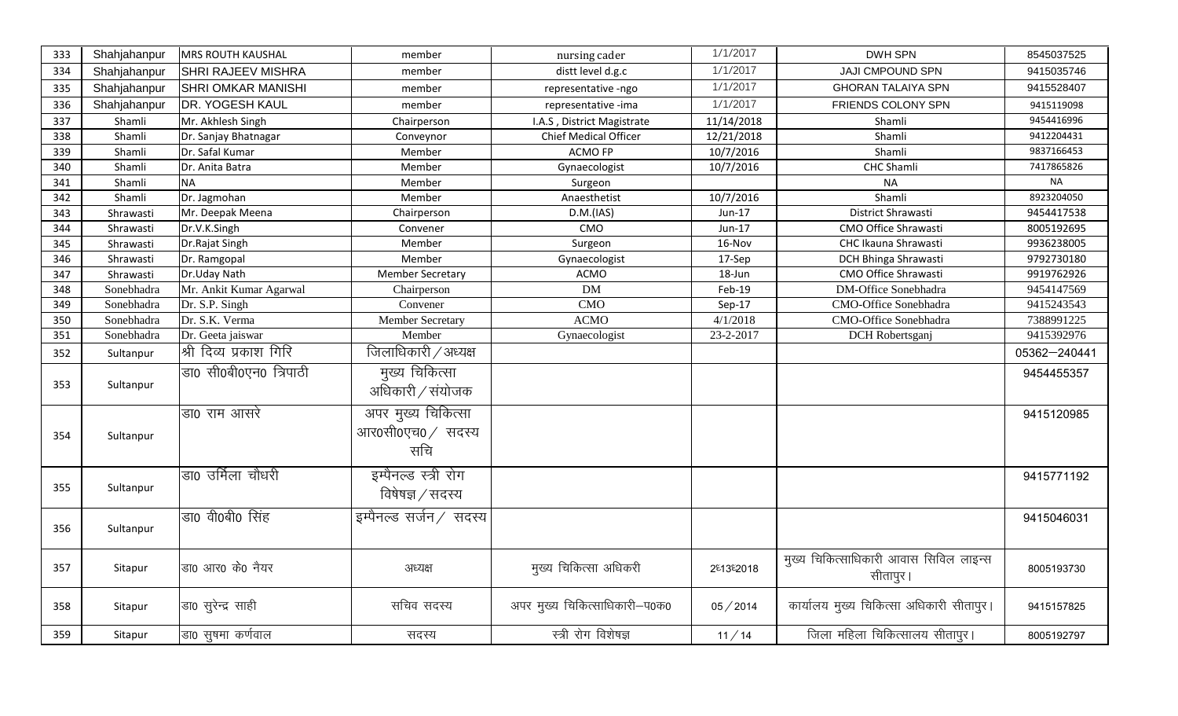| 333 | Shahjahanpur | <b>MRS ROUTH KAUSHAL</b>  | member                                         | nursing cader                 | 1/1/2017   | <b>DWH SPN</b>                                      | 8545037525   |
|-----|--------------|---------------------------|------------------------------------------------|-------------------------------|------------|-----------------------------------------------------|--------------|
| 334 | Shahjahanpur | <b>SHRI RAJEEV MISHRA</b> | member                                         | distt level d.g.c             | 1/1/2017   | JAJI CMPOUND SPN                                    | 9415035746   |
| 335 | Shahjahanpur | <b>SHRI OMKAR MANISHI</b> | member                                         | representative -ngo           | 1/1/2017   | <b>GHORAN TALAIYA SPN</b>                           | 9415528407   |
| 336 | Shahjahanpur | <b>DR. YOGESH KAUL</b>    | member                                         | representative -ima           | 1/1/2017   | FRIENDS COLONY SPN                                  | 9415119098   |
| 337 | Shamli       | Mr. Akhlesh Singh         | Chairperson                                    | I.A.S, District Magistrate    | 11/14/2018 | Shamli                                              | 9454416996   |
| 338 | Shamli       | Dr. Sanjay Bhatnagar      | Conveynor                                      | Chief Medical Officer         | 12/21/2018 | Shamli                                              | 9412204431   |
| 339 | Shamli       | Dr. Safal Kumar           | Member                                         | <b>ACMO FP</b>                | 10/7/2016  | Shamli                                              | 9837166453   |
| 340 | Shamli       | Dr. Anita Batra           | Member                                         | Gynaecologist                 | 10/7/2016  | CHC Shamli                                          | 7417865826   |
| 341 | Shamli       | <b>NA</b>                 | Member                                         | Surgeon                       |            | <b>NA</b>                                           | <b>NA</b>    |
| 342 | Shamli       | Dr. Jagmohan              | Member                                         | Anaesthetist                  | 10/7/2016  | Shamli                                              | 8923204050   |
| 343 | Shrawasti    | Mr. Deepak Meena          | Chairperson                                    | D.M.(IAS)                     | Jun-17     | District Shrawasti                                  | 9454417538   |
| 344 | Shrawasti    | Dr.V.K.Singh              | Convener                                       | CMO                           | Jun-17     | <b>CMO Office Shrawasti</b>                         | 8005192695   |
| 345 | Shrawasti    | Dr.Rajat Singh            | Member                                         | Surgeon                       | 16-Nov     | CHC Ikauna Shrawasti                                | 9936238005   |
| 346 | Shrawasti    | Dr. Ramgopal              | Member                                         | Gynaecologist                 | 17-Sep     | <b>DCH Bhinga Shrawasti</b>                         | 9792730180   |
| 347 | Shrawasti    | Dr.Uday Nath              | <b>Member Secretary</b>                        | <b>ACMO</b>                   | 18-Jun     | CMO Office Shrawasti                                | 9919762926   |
| 348 | Sonebhadra   | Mr. Ankit Kumar Agarwal   | Chairperson                                    | <b>DM</b>                     | Feb-19     | DM-Office Sonebhadra                                | 9454147569   |
| 349 | Sonebhadra   | Dr. S.P. Singh            | Convener                                       | <b>CMO</b>                    | $Sep-17$   | CMO-Office Sonebhadra                               | 9415243543   |
| 350 | Sonebhadra   | Dr. S.K. Verma            | Member Secretary                               | <b>ACMO</b>                   | 4/1/2018   | <b>CMO-Office Sonebhadra</b>                        | 7388991225   |
| 351 | Sonebhadra   | Dr. Geeta jaiswar         | Member                                         | Gynaecologist                 | 23-2-2017  | DCH Robertsganj                                     | 9415392976   |
| 352 | Sultanpur    | श्री दिव्य प्रकाश गिरि    | जिलाधिकारी / अध्यक्ष                           |                               |            |                                                     | 05362-240441 |
| 353 | Sultanpur    | डा0 सी0बी0एन0 त्रिपाठी    | मुख्य चिकित्सा<br>अधिकारी / संयोजक             |                               |            |                                                     | 9454455357   |
| 354 | Sultanpur    | डा0 राम आसरे              | अपर मुख्य चिकित्सा<br>आर0सी0एच0 / सदस्य<br>सचि |                               |            |                                                     | 9415120985   |
| 355 | Sultanpur    | डा0 उर्मिला चौधरी         | इम्पैनल्ड स्त्री रोग<br>विषेषज्ञ / सदस्य       |                               |            |                                                     | 9415771192   |
| 356 | Sultanpur    | डा0 वी0बी0 सिंह           | इम्पैनल्ड सर्जन / सदस्य                        |                               |            |                                                     | 9415046031   |
| 357 | Sitapur      | डा0 आर0 के0 नैयर          | अध्यक्ष                                        | मुख्य चिकित्सा अधिकरी         | 281382018  | मुख्य चिकित्साधिकारी आवास सिविल लाइन्स<br>सीतापुर । | 8005193730   |
| 358 | Sitapur      | डा0 सुरेन्द्र साही        | सचिव सदस्य                                     | अपर मुख्य चिकित्साधिकारी-प0क0 | 05/2014    | कार्यालय मुख्य चिकित्सा अधिकारी सीतापुर।            | 9415157825   |
| 359 | Sitapur      | डा0 सुषमा कर्णवाल         | सदस्य                                          | स्त्री रोग विशेषज्ञ           | 11/14      | जिला महिला चिकित्सालय सीतापुर।                      | 8005192797   |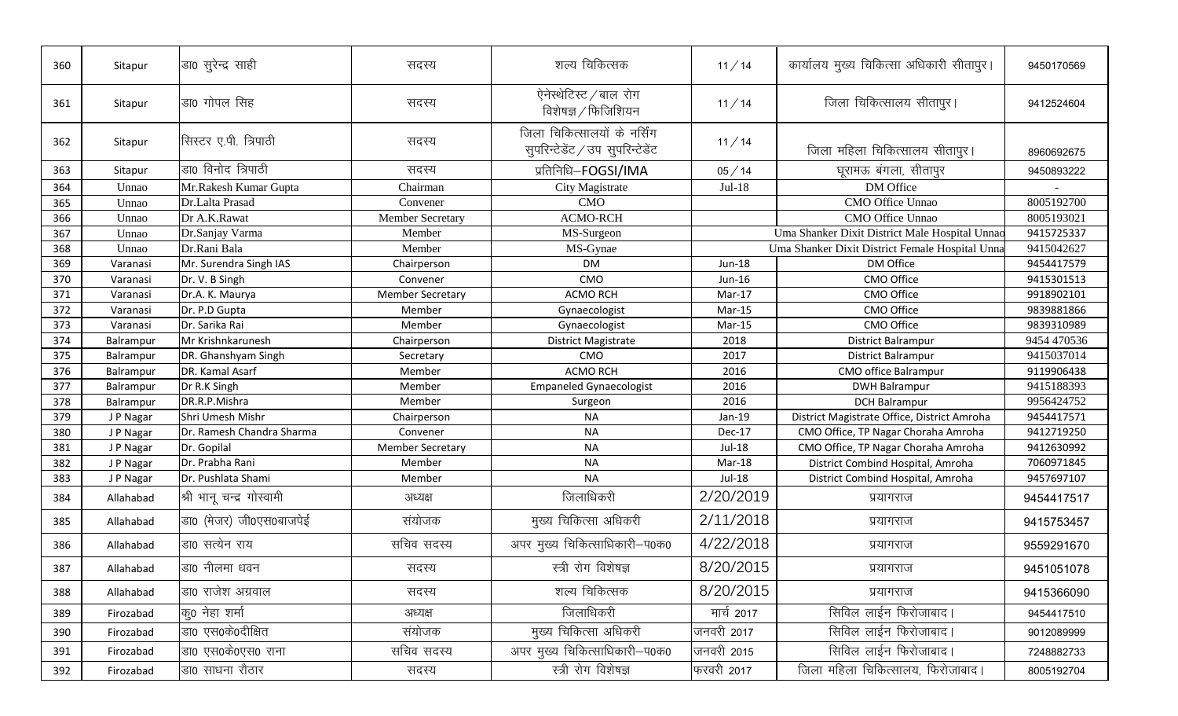| 360 | Sitapur   | डा0 सुरेन्द्र साही        | सदस्य                   | शल्य चिकित्सक                                                    | 11/14      | कार्यालय मुख्य चिकित्सा अधिकारी सीतापुर।        | 9450170569  |
|-----|-----------|---------------------------|-------------------------|------------------------------------------------------------------|------------|-------------------------------------------------|-------------|
| 361 | Sitapur   | डा0 गोपल सिंह             | सदस्य                   | ऐनेस्थेटिस्ट / बाल रोग<br>विशेषज्ञ / फिजिशियन                    | 11/14      | जिला चिकित्सालय सीतापुर।                        | 9412524604  |
| 362 | Sitapur   | सिस्टर ए.पी. त्रिपाठी     | सदस्य                   | जिला चिकित्सालयों के नर्सिंग<br>सुपरिन्टेडेंट / उप सुपरिन्टेडेंट | 11/14      | जिला महिला चिकित्सालय सीतापुर।                  | 8960692675  |
| 363 | Sitapur   | डा0 विनोद त्रिपाठी        | सदस्य                   | प्रतिनिधि-FOGSI/IMA                                              | 05/14      | घूरामऊ बंगला, सीतापुर                           | 9450893222  |
| 364 | Unnao     | Mr.Rakesh Kumar Gupta     | Chairman                | City Magistrate                                                  | $Jul-18$   | DM Office                                       |             |
| 365 | Unnao     | Dr.Lalta Prasad           | Convener                | CMO                                                              |            | CMO Office Unnao                                | 8005192700  |
| 366 | Unnao     | Dr A.K.Rawat              | <b>Member Secretary</b> | <b>ACMO-RCH</b>                                                  |            | CMO Office Unnao                                | 8005193021  |
| 367 | Unnao     | Dr.Sanjay Varma           | Member                  | MS-Surgeon                                                       |            | Uma Shanker Dixit District Male Hospital Unnac  | 9415725337  |
| 368 | Unnao     | Dr.Rani Bala              | Member                  | MS-Gynae                                                         |            | Uma Shanker Dixit District Female Hospital Unna | 9415042627  |
| 369 | Varanasi  | Mr. Surendra Singh IAS    | Chairperson             | <b>DM</b>                                                        | Jun-18     | DM Office                                       | 9454417579  |
| 370 | Varanasi  | Dr. V. B Singh            | Convener                | CMO                                                              | Jun-16     | CMO Office                                      | 9415301513  |
| 371 | Varanasi  | Dr.A. K. Maurya           | <b>Member Secretary</b> | <b>ACMO RCH</b>                                                  | Mar-17     | CMO Office                                      | 9918902101  |
| 372 | Varanasi  | Dr. P.D Gupta             | Member                  | Gynaecologist                                                    | $Mar-15$   | CMO Office                                      | 9839881866  |
| 373 | Varanasi  | Dr. Sarika Rai            | Member                  | Gynaecologist                                                    | $Mar-15$   | CMO Office                                      | 9839310989  |
| 374 | Balrampur | Mr Krishnkarunesh         | Chairperson             | District Magistrate                                              | 2018       | District Balrampur                              | 9454 470536 |
| 375 | Balrampur | DR. Ghanshyam Singh       | Secretary               | CMO                                                              | 2017       | District Balrampur                              | 9415037014  |
| 376 | Balrampur | DR. Kamal Asarf           | Member                  | <b>ACMO RCH</b>                                                  | 2016       | CMO office Balrampur                            | 9119906438  |
| 377 | Balrampur | Dr R.K Singh              | Member                  | <b>Empaneled Gynaecologist</b>                                   | 2016       | <b>DWH Balrampur</b>                            | 9415188393  |
| 378 | Balrampur | DR.R.P.Mishra             | Member                  | Surgeon                                                          | 2016       | <b>DCH Balrampur</b>                            | 9956424752  |
| 379 | J P Nagar | Shri Umesh Mishr          | Chairperson             | <b>NA</b>                                                        | Jan-19     | District Magistrate Office, District Amroha     | 9454417571  |
| 380 | J P Nagar | Dr. Ramesh Chandra Sharma | Convener                | <b>NA</b>                                                        | Dec-17     | CMO Office, TP Nagar Choraha Amroha             | 9412719250  |
| 381 | J P Nagar | Dr. Gopilal               | <b>Member Secretary</b> | <b>NA</b>                                                        | Jul-18     | CMO Office, TP Nagar Choraha Amroha             | 9412630992  |
| 382 | J P Nagar | Dr. Prabha Rani           | Member                  | <b>NA</b>                                                        | Mar-18     | District Combind Hospital, Amroha               | 7060971845  |
| 383 | J P Nagar | Dr. Pushlata Shami        | Member                  | <b>NA</b>                                                        | Jul-18     | District Combind Hospital, Amroha               | 9457697107  |
| 384 | Allahabad | श्री भानू चन्द्र गोस्वामी | अध्यक्ष                 | जिलाधिकरी                                                        | 2/20/2019  | प्रयागराज                                       | 9454417517  |
| 385 | Allahabad | डा0 (मेजर) जी0एस0बाजपेई   | संयोजक                  | मुख्य चिकित्सा अधिकरी                                            | 2/11/2018  | प्रयागराज                                       | 9415753457  |
| 386 | Allahabad | डा0 सत्येन राय            | सचिव सदस्य              | अपर मुख्य चिकित्साधिकारी-प0क0                                    | 4/22/2018  | प्रयागराज                                       | 9559291670  |
| 387 | Allahabad | डा0 नीलमा धवन             | सदस्य                   | स्त्री रोग विशेषज्ञ                                              | 8/20/2015  | प्रयागराज                                       | 9451051078  |
| 388 | Allahabad | डा0 राजेश अग्रवाल         | सदस्य                   | शल्य चिकित्सक                                                    | 8/20/2015  | प्रयागराज                                       | 9415366090  |
| 389 | Firozabad | कृ0 नेहा शर्मा            | अध्यक्ष                 | जिलाधिकरी                                                        | मार्च 2017 | सिविल लाईन फिरोजाबाद।                           | 9454417510  |
| 390 | Firozabad | डा0 एस0के0दीक्षित         | संयोजक                  | मुख्य चिकित्सा अधिकरी                                            | जनवरी 2017 | सिविल लाईन फिरोजाबाद।                           | 9012089999  |
| 391 | Firozabad | डा० एस०के०एस० राना        | सचिव सदस्य              | अपर मुख्य चिकित्साधिकारी-प0क0                                    | जनवरी 2015 | सिविल लाईन फिरोजाबाद।                           | 7248882733  |
| 392 | Firozabad | डा0 साधना रौठार           | सदस्य                   | स्त्री रोग विशेषज्ञ                                              | फरवरी 2017 | जिला महिला चिकित्सालय, फिरोजाबाद।               | 8005192704  |